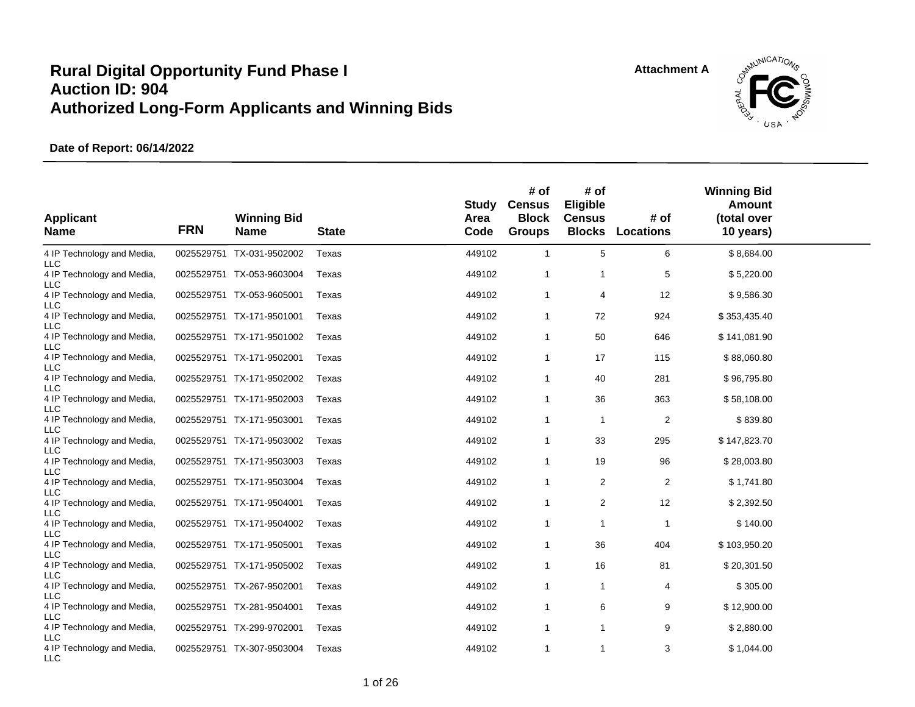

| <b>Applicant</b><br><b>Name</b>          | <b>FRN</b> | <b>Winning Bid</b><br><b>Name</b> | <b>State</b> | Study<br>Area<br>Code | # of<br><b>Census</b><br><b>Block</b><br><b>Groups</b> | # of<br><b>Eligible</b><br><b>Census</b><br><b>Blocks</b> | # of<br><b>Locations</b> | <b>Winning Bid</b><br>Amount<br>(total over<br>10 years) |  |
|------------------------------------------|------------|-----------------------------------|--------------|-----------------------|--------------------------------------------------------|-----------------------------------------------------------|--------------------------|----------------------------------------------------------|--|
| 4 IP Technology and Media,<br><b>LLC</b> |            | 0025529751 TX-031-9502002         | Texas        | 449102                | $\mathbf{1}$                                           | 5                                                         | 6                        | \$8,684.00                                               |  |
| 4 IP Technology and Media,<br>LLC        |            | 0025529751 TX-053-9603004         | Texas        | 449102                | $\mathbf{1}$                                           | $\mathbf{1}$                                              | 5                        | \$5,220.00                                               |  |
| 4 IP Technology and Media,<br>LLC        |            | 0025529751 TX-053-9605001         | Texas        | 449102                | $\mathbf{1}$                                           | 4                                                         | 12                       | \$9,586.30                                               |  |
| 4 IP Technology and Media,<br><b>LLC</b> |            | 0025529751 TX-171-9501001         | Texas        | 449102                | $\mathbf{1}$                                           | 72                                                        | 924                      | \$353,435.40                                             |  |
| 4 IP Technology and Media,<br><b>LLC</b> |            | 0025529751 TX-171-9501002         | Texas        | 449102                | $\mathbf{1}$                                           | 50                                                        | 646                      | \$141,081.90                                             |  |
| 4 IP Technology and Media,<br>LLC        |            | 0025529751 TX-171-9502001         | Texas        | 449102                | $\mathbf{1}$                                           | 17                                                        | 115                      | \$88,060.80                                              |  |
| 4 IP Technology and Media,<br><b>LLC</b> |            | 0025529751 TX-171-9502002         | Texas        | 449102                | $\mathbf{1}$                                           | 40                                                        | 281                      | \$96,795.80                                              |  |
| 4 IP Technology and Media,<br><b>LLC</b> |            | 0025529751 TX-171-9502003         | Texas        | 449102                | $\mathbf{1}$                                           | 36                                                        | 363                      | \$58,108.00                                              |  |
| 4 IP Technology and Media,<br><b>LLC</b> |            | 0025529751 TX-171-9503001         | Texas        | 449102                | $\mathbf{1}$                                           | $\mathbf{1}$                                              | 2                        | \$839.80                                                 |  |
| 4 IP Technology and Media,<br><b>LLC</b> |            | 0025529751 TX-171-9503002         | Texas        | 449102                | $\mathbf{1}$                                           | 33                                                        | 295                      | \$147,823.70                                             |  |
| 4 IP Technology and Media,<br><b>LLC</b> |            | 0025529751 TX-171-9503003         | Texas        | 449102                | $\mathbf{1}$                                           | 19                                                        | 96                       | \$28,003.80                                              |  |
| 4 IP Technology and Media,<br>LLC        |            | 0025529751 TX-171-9503004         | Texas        | 449102                | $\mathbf{1}$                                           | $\overline{c}$                                            | $\overline{2}$           | \$1,741.80                                               |  |
| 4 IP Technology and Media,<br>LLC        |            | 0025529751 TX-171-9504001         | Texas        | 449102                | $\mathbf{1}$                                           | 2                                                         | 12                       | \$2,392.50                                               |  |
| 4 IP Technology and Media,<br><b>LLC</b> |            | 0025529751 TX-171-9504002         | Texas        | 449102                | $\mathbf{1}$                                           | 1                                                         | -1                       | \$140.00                                                 |  |
| 4 IP Technology and Media,<br><b>LLC</b> |            | 0025529751 TX-171-9505001         | Texas        | 449102                | $\mathbf{1}$                                           | 36                                                        | 404                      | \$103,950.20                                             |  |
| 4 IP Technology and Media,               |            | 0025529751 TX-171-9505002         | Texas        | 449102                | $\mathbf{1}$                                           | 16                                                        | 81                       | \$20,301.50                                              |  |
| LLC<br>4 IP Technology and Media,        |            | 0025529751 TX-267-9502001         | Texas        | 449102                | $\mathbf{1}$                                           | $\mathbf{1}$                                              | 4                        | \$305.00                                                 |  |
| LLC<br>4 IP Technology and Media,        |            | 0025529751 TX-281-9504001         | Texas        | 449102                | $\mathbf{1}$                                           | 6                                                         | 9                        | \$12,900.00                                              |  |
| LLC<br>4 IP Technology and Media,        |            | 0025529751 TX-299-9702001         | Texas        | 449102                | $\mathbf{1}$                                           | $\mathbf{1}$                                              | 9                        | \$2,880.00                                               |  |
| LLC<br>4 IP Technology and Media,<br>LLC |            | 0025529751 TX-307-9503004         | Texas        | 449102                | $\mathbf{1}$                                           | $\mathbf{1}$                                              | 3                        | \$1,044.00                                               |  |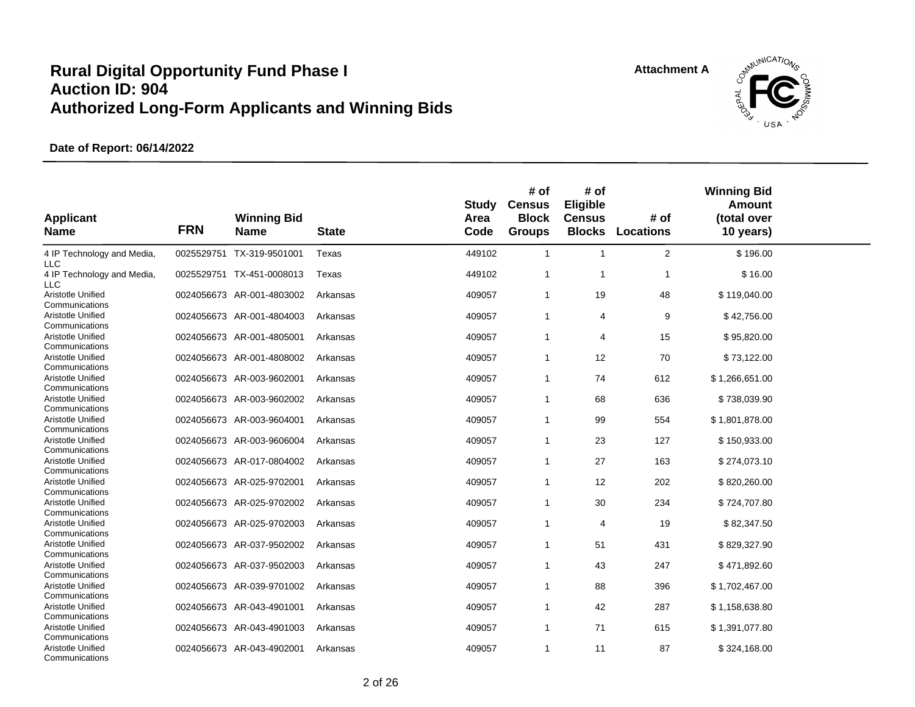

| <b>Applicant</b><br><b>Name</b>            | <b>FRN</b> | <b>Winning Bid</b><br><b>Name</b> | <b>State</b> | Study<br>Area<br>Code | # of<br><b>Census</b><br><b>Block</b><br><b>Groups</b> | # of<br>Eligible<br><b>Census</b><br><b>Blocks</b> | # of<br><b>Locations</b> | <b>Winning Bid</b><br>Amount<br>(total over<br>10 years) |  |
|--------------------------------------------|------------|-----------------------------------|--------------|-----------------------|--------------------------------------------------------|----------------------------------------------------|--------------------------|----------------------------------------------------------|--|
| 4 IP Technology and Media,<br>LLC          |            | 0025529751 TX-319-9501001         | Texas        | 449102                | $\overline{1}$                                         | $\overline{1}$                                     | $\overline{2}$           | \$196.00                                                 |  |
| 4 IP Technology and Media,<br><b>LLC</b>   |            | 0025529751 TX-451-0008013         | Texas        | 449102                | $\overline{1}$                                         | $\overline{1}$                                     | 1                        | \$16.00                                                  |  |
| Aristotle Unified<br>Communications        |            | 0024056673 AR-001-4803002         | Arkansas     | 409057                | $\overline{1}$                                         | 19                                                 | 48                       | \$119,040.00                                             |  |
| <b>Aristotle Unified</b><br>Communications |            | 0024056673 AR-001-4804003         | Arkansas     | 409057                | $\mathbf{1}$                                           | $\overline{4}$                                     | 9                        | \$42,756.00                                              |  |
| Aristotle Unified<br>Communications        |            | 0024056673 AR-001-4805001         | Arkansas     | 409057                | $\mathbf{1}$                                           | 4                                                  | 15                       | \$95,820.00                                              |  |
| Aristotle Unified<br>Communications        |            | 0024056673 AR-001-4808002         | Arkansas     | 409057                | $\mathbf{1}$                                           | 12                                                 | 70                       | \$73,122.00                                              |  |
| Aristotle Unified<br>Communications        |            | 0024056673 AR-003-9602001         | Arkansas     | 409057                | $\overline{1}$                                         | 74                                                 | 612                      | \$1,266,651.00                                           |  |
| Aristotle Unified<br>Communications        |            | 0024056673 AR-003-9602002         | Arkansas     | 409057                | $\overline{1}$                                         | 68                                                 | 636                      | \$738,039.90                                             |  |
| <b>Aristotle Unified</b><br>Communications |            | 0024056673 AR-003-9604001         | Arkansas     | 409057                | $\mathbf{1}$                                           | 99                                                 | 554                      | \$1,801,878.00                                           |  |
| Aristotle Unified<br>Communications        |            | 0024056673 AR-003-9606004         | Arkansas     | 409057                | $\mathbf{1}$                                           | 23                                                 | 127                      | \$150,933.00                                             |  |
| Aristotle Unified<br>Communications        |            | 0024056673 AR-017-0804002         | Arkansas     | 409057                | $\mathbf{1}$                                           | 27                                                 | 163                      | \$274,073.10                                             |  |
| Aristotle Unified<br>Communications        |            | 0024056673 AR-025-9702001         | Arkansas     | 409057                | $\overline{1}$                                         | 12                                                 | 202                      | \$820,260.00                                             |  |
| Aristotle Unified<br>Communications        |            | 0024056673 AR-025-9702002         | Arkansas     | 409057                | $\mathbf{1}$                                           | 30                                                 | 234                      | \$724,707.80                                             |  |
| Aristotle Unified<br>Communications        |            | 0024056673 AR-025-9702003         | Arkansas     | 409057                | $\mathbf 1$                                            | 4                                                  | 19                       | \$82,347.50                                              |  |
| Aristotle Unified<br>Communications        |            | 0024056673 AR-037-9502002         | Arkansas     | 409057                | $\overline{1}$                                         | 51                                                 | 431                      | \$829,327.90                                             |  |
| Aristotle Unified<br>Communications        | 0024056673 | AR-037-9502003                    | Arkansas     | 409057                | $\mathbf{1}$                                           | 43                                                 | 247                      | \$471,892.60                                             |  |
| Aristotle Unified<br>Communications        |            | 0024056673 AR-039-9701002         | Arkansas     | 409057                | $\mathbf{1}$                                           | 88                                                 | 396                      | \$1,702,467.00                                           |  |
| Aristotle Unified<br>Communications        |            | 0024056673 AR-043-4901001         | Arkansas     | 409057                | $\mathbf{1}$                                           | 42                                                 | 287                      | \$1,158,638.80                                           |  |
| Aristotle Unified<br>Communications        |            | 0024056673 AR-043-4901003         | Arkansas     | 409057                | $\mathbf{1}$                                           | 71                                                 | 615                      | \$1,391,077.80                                           |  |
| <b>Aristotle Unified</b><br>Communications |            | 0024056673 AR-043-4902001         | Arkansas     | 409057                | $\overline{1}$                                         | 11                                                 | 87                       | \$324,168.00                                             |  |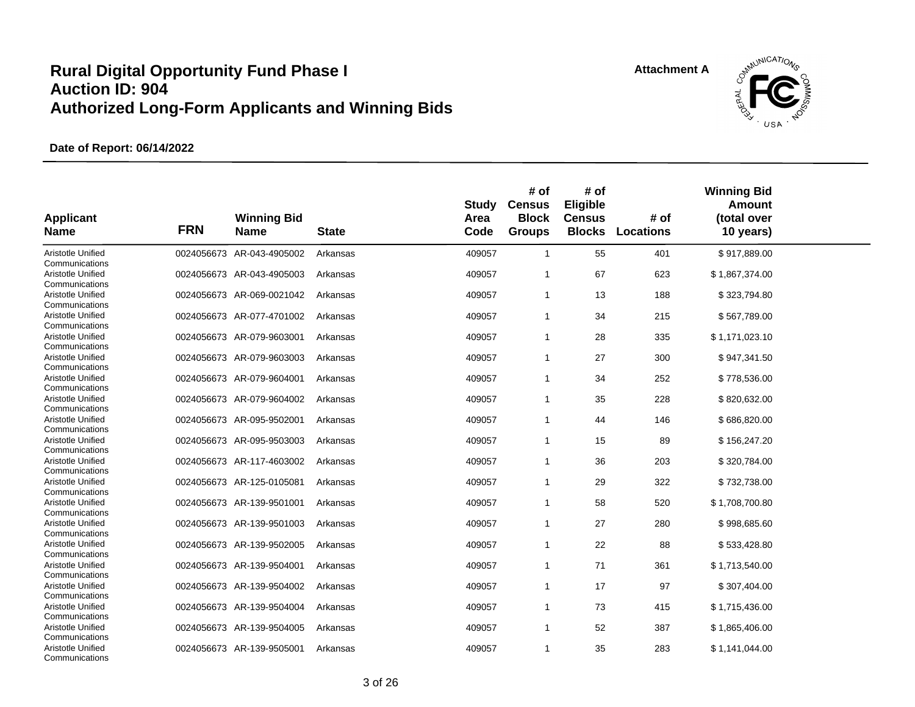

| <b>Applicant</b><br><b>Name</b>     | <b>FRN</b> | <b>Winning Bid</b><br><b>Name</b> | <b>State</b> | <b>Study</b><br>Area<br>Code | # of<br><b>Census</b><br><b>Block</b><br><b>Groups</b> | # of<br>Eligible<br><b>Census</b><br><b>Blocks</b> | # of<br><b>Locations</b> | <b>Winning Bid</b><br>Amount<br>(total over<br>10 years) |  |
|-------------------------------------|------------|-----------------------------------|--------------|------------------------------|--------------------------------------------------------|----------------------------------------------------|--------------------------|----------------------------------------------------------|--|
| Aristotle Unified<br>Communications |            | 0024056673 AR-043-4905002         | Arkansas     | 409057                       | $\mathbf{1}$                                           | 55                                                 | 401                      | \$917,889.00                                             |  |
| Aristotle Unified<br>Communications |            | 0024056673 AR-043-4905003         | Arkansas     | 409057                       | $\mathbf 1$                                            | 67                                                 | 623                      | \$1,867,374.00                                           |  |
| Aristotle Unified<br>Communications |            | 0024056673 AR-069-0021042         | Arkansas     | 409057                       | $\mathbf{1}$                                           | 13                                                 | 188                      | \$323,794.80                                             |  |
| Aristotle Unified<br>Communications |            | 0024056673 AR-077-4701002         | Arkansas     | 409057                       | $\mathbf{1}$                                           | 34                                                 | 215                      | \$567,789.00                                             |  |
| Aristotle Unified<br>Communications |            | 0024056673 AR-079-9603001         | Arkansas     | 409057                       | $\mathbf{1}$                                           | 28                                                 | 335                      | \$1,171,023.10                                           |  |
| Aristotle Unified<br>Communications |            | 0024056673 AR-079-9603003         | Arkansas     | 409057                       | $\mathbf{1}$                                           | 27                                                 | 300                      | \$947,341.50                                             |  |
| Aristotle Unified<br>Communications |            | 0024056673 AR-079-9604001         | Arkansas     | 409057                       | $\mathbf{1}$                                           | 34                                                 | 252                      | \$778,536.00                                             |  |
| Aristotle Unified<br>Communications |            | 0024056673 AR-079-9604002         | Arkansas     | 409057                       | $\mathbf{1}$                                           | 35                                                 | 228                      | \$820,632.00                                             |  |
| Aristotle Unified<br>Communications |            | 0024056673 AR-095-9502001         | Arkansas     | 409057                       | 1                                                      | 44                                                 | 146                      | \$686,820.00                                             |  |
| Aristotle Unified<br>Communications |            | 0024056673 AR-095-9503003         | Arkansas     | 409057                       | $\mathbf{1}$                                           | 15                                                 | 89                       | \$156,247.20                                             |  |
| Aristotle Unified<br>Communications |            | 0024056673 AR-117-4603002         | Arkansas     | 409057                       | $\mathbf{1}$                                           | 36                                                 | 203                      | \$320,784.00                                             |  |
| Aristotle Unified<br>Communications |            | 0024056673 AR-125-0105081         | Arkansas     | 409057                       | $\mathbf{1}$                                           | 29                                                 | 322                      | \$732,738.00                                             |  |
| Aristotle Unified<br>Communications |            | 0024056673 AR-139-9501001         | Arkansas     | 409057                       | $\mathbf{1}$                                           | 58                                                 | 520                      | \$1,708,700.80                                           |  |
| Aristotle Unified<br>Communications |            | 0024056673 AR-139-9501003         | Arkansas     | 409057                       | $\mathbf{1}$                                           | 27                                                 | 280                      | \$998,685.60                                             |  |
| Aristotle Unified<br>Communications |            | 0024056673 AR-139-9502005         | Arkansas     | 409057                       | $\mathbf{1}$                                           | 22                                                 | 88                       | \$533,428.80                                             |  |
| Aristotle Unified<br>Communications |            | 0024056673 AR-139-9504001         | Arkansas     | 409057                       | 1                                                      | 71                                                 | 361                      | \$1,713,540.00                                           |  |
| Aristotle Unified<br>Communications |            | 0024056673 AR-139-9504002         | Arkansas     | 409057                       | $\mathbf{1}$                                           | 17                                                 | 97                       | \$307,404.00                                             |  |
| Aristotle Unified<br>Communications |            | 0024056673 AR-139-9504004         | Arkansas     | 409057                       | $\mathbf{1}$                                           | 73                                                 | 415                      | \$1,715,436.00                                           |  |
| Aristotle Unified<br>Communications |            | 0024056673 AR-139-9504005         | Arkansas     | 409057                       | 1                                                      | 52                                                 | 387                      | \$1,865,406.00                                           |  |
| Aristotle Unified<br>Communications |            | 0024056673 AR-139-9505001         | Arkansas     | 409057                       | 1                                                      | 35                                                 | 283                      | \$1,141,044.00                                           |  |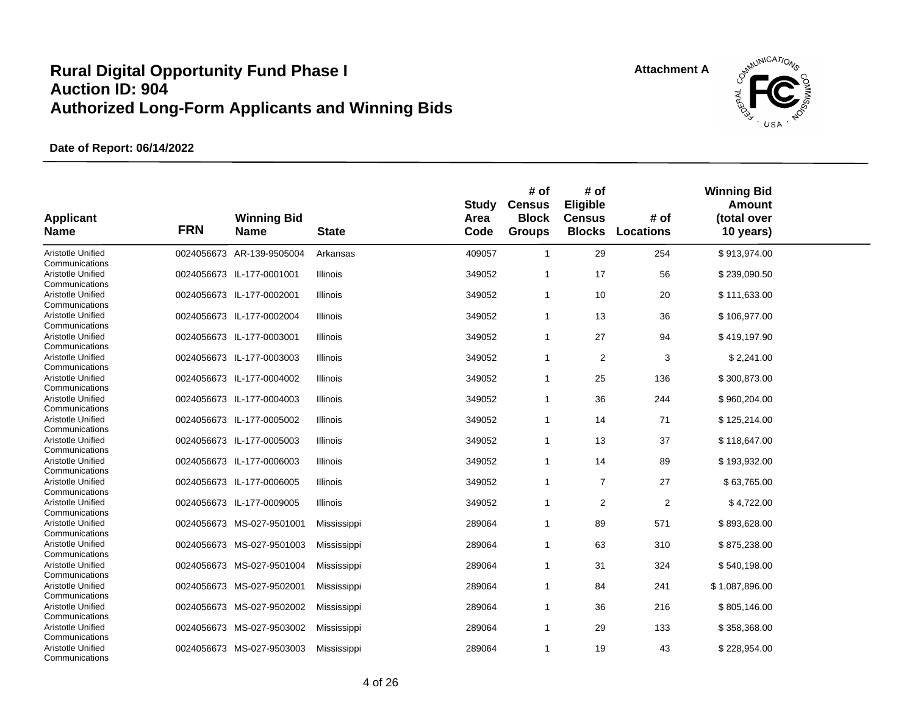

| <b>Applicant</b><br><b>Name</b>                       | <b>FRN</b> | <b>Winning Bid</b><br><b>Name</b> | <b>State</b>    | <b>Study</b><br>Area<br>Code | # of<br><b>Census</b><br><b>Block</b><br><b>Groups</b> | # of<br>Eligible<br><b>Census</b><br><b>Blocks</b> | # of<br><b>Locations</b> | <b>Winning Bid</b><br>Amount<br>(total over<br>10 years) |  |
|-------------------------------------------------------|------------|-----------------------------------|-----------------|------------------------------|--------------------------------------------------------|----------------------------------------------------|--------------------------|----------------------------------------------------------|--|
| Aristotle Unified                                     |            | 0024056673 AR-139-9505004         | Arkansas        | 409057                       | $\mathbf{1}$                                           | 29                                                 | 254                      | \$913,974.00                                             |  |
| Communications<br>Aristotle Unified<br>Communications |            | 0024056673 IL-177-0001001         | Illinois        | 349052                       | 1                                                      | 17                                                 | 56                       | \$239,090.50                                             |  |
| Aristotle Unified<br>Communications                   |            | 0024056673 IL-177-0002001         | Illinois        | 349052                       | 1                                                      | 10                                                 | 20                       | \$111,633.00                                             |  |
| Aristotle Unified<br>Communications                   |            | 0024056673 IL-177-0002004         | Illinois        | 349052                       | 1                                                      | 13                                                 | 36                       | \$106,977.00                                             |  |
| Aristotle Unified<br>Communications                   |            | 0024056673 IL-177-0003001         | Illinois        | 349052                       | $\mathbf{1}$                                           | 27                                                 | 94                       | \$419,197.90                                             |  |
| Aristotle Unified<br>Communications                   |            | 0024056673 IL-177-0003003         | Illinois        | 349052                       | 1                                                      | 2                                                  | 3                        | \$2,241.00                                               |  |
| Aristotle Unified<br>Communications                   |            | 0024056673 IL-177-0004002         | Illinois        | 349052                       | $\mathbf{1}$                                           | 25                                                 | 136                      | \$300,873.00                                             |  |
| Aristotle Unified<br>Communications                   |            | 0024056673 IL-177-0004003         | <b>Illinois</b> | 349052                       | $\mathbf{1}$                                           | 36                                                 | 244                      | \$960,204.00                                             |  |
| Aristotle Unified<br>Communications                   |            | 0024056673 IL-177-0005002         | Illinois        | 349052                       | $\mathbf{1}$                                           | 14                                                 | 71                       | \$125,214.00                                             |  |
| Aristotle Unified<br>Communications                   |            | 0024056673 IL-177-0005003         | <b>Illinois</b> | 349052                       | 1                                                      | 13                                                 | 37                       | \$118,647.00                                             |  |
| Aristotle Unified<br>Communications                   |            | 0024056673 IL-177-0006003         | Illinois        | 349052                       | 1                                                      | 14                                                 | 89                       | \$193,932.00                                             |  |
| Aristotle Unified<br>Communications                   |            | 0024056673 IL-177-0006005         | Illinois        | 349052                       | $\mathbf{1}$                                           | $\overline{7}$                                     | 27                       | \$63,765.00                                              |  |
| Aristotle Unified<br>Communications                   |            | 0024056673 IL-177-0009005         | Illinois        | 349052                       | 1                                                      | $\overline{2}$                                     | $\overline{2}$           | \$4,722.00                                               |  |
| Aristotle Unified<br>Communications                   |            | 0024056673 MS-027-9501001         | Mississippi     | 289064                       | 1                                                      | 89                                                 | 571                      | \$893,628.00                                             |  |
| Aristotle Unified<br>Communications                   |            | 0024056673 MS-027-9501003         | Mississippi     | 289064                       | 1                                                      | 63                                                 | 310                      | \$875,238.00                                             |  |
| Aristotle Unified<br>Communications                   |            | 0024056673 MS-027-9501004         | Mississippi     | 289064                       | $\mathbf{1}$                                           | 31                                                 | 324                      | \$540,198.00                                             |  |
| Aristotle Unified<br>Communications                   |            | 0024056673 MS-027-9502001         | Mississippi     | 289064                       | 1                                                      | 84                                                 | 241                      | \$1,087,896.00                                           |  |
| Aristotle Unified<br>Communications                   |            | 0024056673 MS-027-9502002         | Mississippi     | 289064                       | 1                                                      | 36                                                 | 216                      | \$805,146.00                                             |  |
| Aristotle Unified<br>Communications                   |            | 0024056673 MS-027-9503002         | Mississippi     | 289064                       | 1                                                      | 29                                                 | 133                      | \$358,368.00                                             |  |
| Aristotle Unified<br>Communications                   |            | 0024056673 MS-027-9503003         | Mississippi     | 289064                       | 1                                                      | 19                                                 | 43                       | \$228,954.00                                             |  |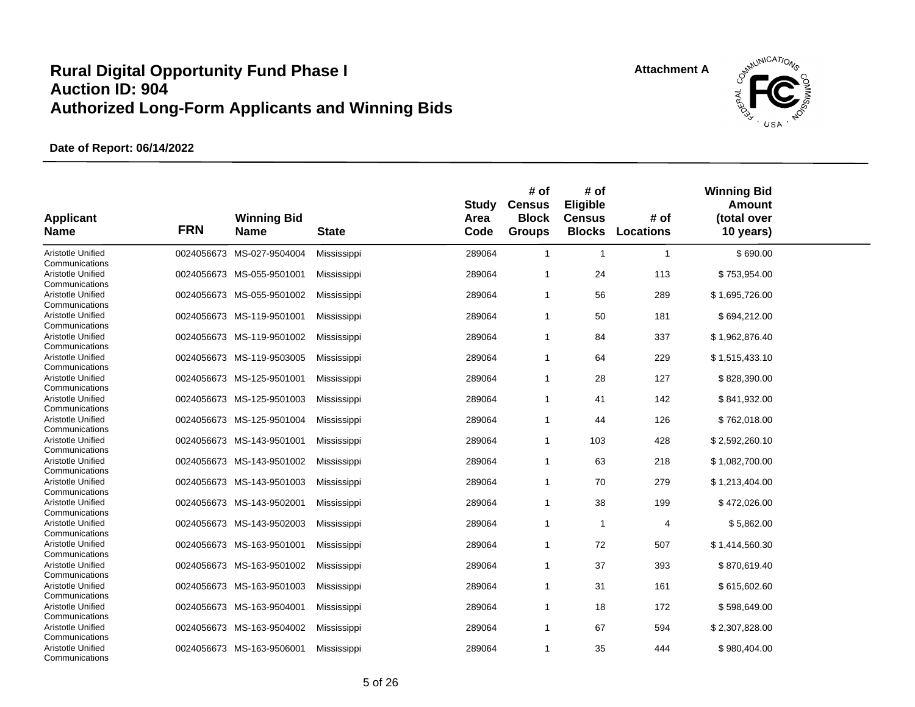

| <b>Applicant</b><br><b>Name</b>     | <b>FRN</b> | <b>Winning Bid</b><br><b>Name</b> | <b>State</b> | <b>Study</b><br>Area<br>Code | # of<br><b>Census</b><br><b>Block</b><br><b>Groups</b> | # of<br>Eligible<br><b>Census</b><br><b>Blocks</b> | # of<br><b>Locations</b> | <b>Winning Bid</b><br><b>Amount</b><br>(total over<br>10 years) |  |
|-------------------------------------|------------|-----------------------------------|--------------|------------------------------|--------------------------------------------------------|----------------------------------------------------|--------------------------|-----------------------------------------------------------------|--|
| Aristotle Unified<br>Communications |            | 0024056673 MS-027-9504004         | Mississippi  | 289064                       | $\mathbf{1}$                                           | $\mathbf{1}$                                       | $\mathbf{1}$             | \$690.00                                                        |  |
| Aristotle Unified<br>Communications |            | 0024056673 MS-055-9501001         | Mississippi  | 289064                       | 1                                                      | 24                                                 | 113                      | \$753,954.00                                                    |  |
| Aristotle Unified<br>Communications |            | 0024056673 MS-055-9501002         | Mississippi  | 289064                       | $\mathbf{1}$                                           | 56                                                 | 289                      | \$1,695,726.00                                                  |  |
| Aristotle Unified<br>Communications |            | 0024056673 MS-119-9501001         | Mississippi  | 289064                       | $\mathbf{1}$                                           | 50                                                 | 181                      | \$694,212.00                                                    |  |
| Aristotle Unified<br>Communications |            | 0024056673 MS-119-9501002         | Mississippi  | 289064                       | $\mathbf{1}$                                           | 84                                                 | 337                      | \$1,962,876.40                                                  |  |
| Aristotle Unified<br>Communications |            | 0024056673 MS-119-9503005         | Mississippi  | 289064                       | $\mathbf{1}$                                           | 64                                                 | 229                      | \$1,515,433.10                                                  |  |
| Aristotle Unified<br>Communications |            | 0024056673 MS-125-9501001         | Mississippi  | 289064                       | -1                                                     | 28                                                 | 127                      | \$828,390.00                                                    |  |
| Aristotle Unified<br>Communications |            | 0024056673 MS-125-9501003         | Mississippi  | 289064                       | $\mathbf{1}$                                           | 41                                                 | 142                      | \$841,932.00                                                    |  |
| Aristotle Unified<br>Communications |            | 0024056673 MS-125-9501004         | Mississippi  | 289064                       | $\mathbf{1}$                                           | 44                                                 | 126                      | \$762,018.00                                                    |  |
| Aristotle Unified<br>Communications |            | 0024056673 MS-143-9501001         | Mississippi  | 289064                       | $\mathbf{1}$                                           | 103                                                | 428                      | \$2,592,260.10                                                  |  |
| Aristotle Unified<br>Communications |            | 0024056673 MS-143-9501002         | Mississippi  | 289064                       | 1                                                      | 63                                                 | 218                      | \$1,082,700.00                                                  |  |
| Aristotle Unified<br>Communications |            | 0024056673 MS-143-9501003         | Mississippi  | 289064                       | $\mathbf{1}$                                           | 70                                                 | 279                      | \$1,213,404.00                                                  |  |
| Aristotle Unified<br>Communications |            | 0024056673 MS-143-9502001         | Mississippi  | 289064                       | $\overline{1}$                                         | 38                                                 | 199                      | \$472,026.00                                                    |  |
| Aristotle Unified<br>Communications |            | 0024056673 MS-143-9502003         | Mississippi  | 289064                       | $\mathbf{1}$                                           | $\mathbf{1}$                                       | 4                        | \$5,862.00                                                      |  |
| Aristotle Unified<br>Communications |            | 0024056673 MS-163-9501001         | Mississippi  | 289064                       | $\mathbf{1}$                                           | 72                                                 | 507                      | \$1,414,560.30                                                  |  |
| Aristotle Unified<br>Communications |            | 0024056673 MS-163-9501002         | Mississippi  | 289064                       | $\mathbf{1}$                                           | 37                                                 | 393                      | \$870,619.40                                                    |  |
| Aristotle Unified<br>Communications |            | 0024056673 MS-163-9501003         | Mississippi  | 289064                       | $\mathbf{1}$                                           | 31                                                 | 161                      | \$615,602.60                                                    |  |
| Aristotle Unified<br>Communications |            | 0024056673 MS-163-9504001         | Mississippi  | 289064                       | $\mathbf{1}$                                           | 18                                                 | 172                      | \$598,649.00                                                    |  |
| Aristotle Unified<br>Communications |            | 0024056673 MS-163-9504002         | Mississippi  | 289064                       | 1                                                      | 67                                                 | 594                      | \$2,307,828.00                                                  |  |
| Aristotle Unified<br>Communications |            | 0024056673 MS-163-9506001         | Mississippi  | 289064                       | 1                                                      | 35                                                 | 444                      | \$980,404.00                                                    |  |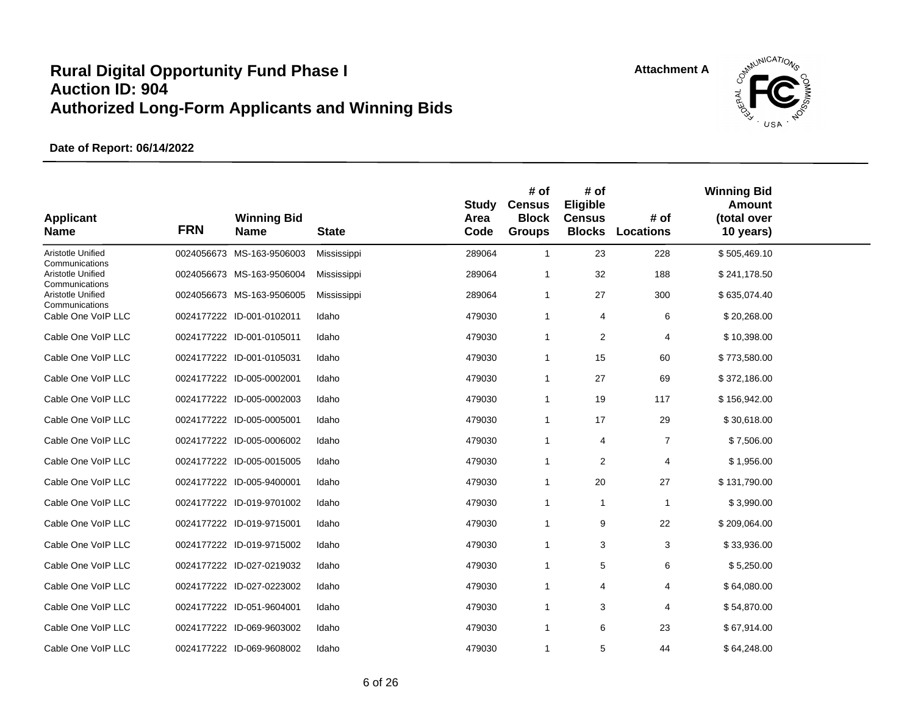

| <b>Applicant</b><br><b>Name</b>     | <b>FRN</b> | <b>Winning Bid</b><br><b>Name</b> | <b>State</b> | Study<br>Area<br>Code | # of<br><b>Census</b><br><b>Block</b><br><b>Groups</b> | # of<br>Eligible<br><b>Census</b><br><b>Blocks</b> | # of<br><b>Locations</b> | <b>Winning Bid</b><br>Amount<br>(total over<br>10 years) |  |
|-------------------------------------|------------|-----------------------------------|--------------|-----------------------|--------------------------------------------------------|----------------------------------------------------|--------------------------|----------------------------------------------------------|--|
| Aristotle Unified<br>Communications |            | 0024056673 MS-163-9506003         | Mississippi  | 289064                | $\mathbf{1}$                                           | 23                                                 | 228                      | \$505,469.10                                             |  |
| Aristotle Unified<br>Communications |            | 0024056673 MS-163-9506004         | Mississippi  | 289064                | 1                                                      | 32                                                 | 188                      | \$241,178.50                                             |  |
| Aristotle Unified<br>Communications |            | 0024056673 MS-163-9506005         | Mississippi  | 289064                | $\mathbf{1}$                                           | 27                                                 | 300                      | \$635,074.40                                             |  |
| Cable One VoIP LLC                  |            | 0024177222 ID-001-0102011         | Idaho        | 479030                | 1                                                      | 4                                                  | 6                        | \$20,268.00                                              |  |
| Cable One VoIP LLC                  |            | 0024177222 ID-001-0105011         | Idaho        | 479030                | $\mathbf{1}$                                           | 2                                                  | 4                        | \$10,398.00                                              |  |
| Cable One VoIP LLC                  |            | 0024177222 ID-001-0105031         | Idaho        | 479030                | 1                                                      | 15                                                 | 60                       | \$773,580.00                                             |  |
| Cable One VoIP LLC                  |            | 0024177222 ID-005-0002001         | Idaho        | 479030                | $\mathbf{1}$                                           | 27                                                 | 69                       | \$372,186.00                                             |  |
| Cable One VoIP LLC                  |            | 0024177222 ID-005-0002003         | Idaho        | 479030                | 1                                                      | 19                                                 | 117                      | \$156,942.00                                             |  |
| Cable One VoIP LLC                  |            | 0024177222 ID-005-0005001         | Idaho        | 479030                | $\mathbf{1}$                                           | 17                                                 | 29                       | \$30,618.00                                              |  |
| Cable One VoIP LLC                  |            | 0024177222 ID-005-0006002         | Idaho        | 479030                | $\mathbf{1}$                                           | 4                                                  | $\overline{7}$           | \$7,506.00                                               |  |
| Cable One VoIP LLC                  |            | 0024177222 ID-005-0015005         | Idaho        | 479030                | $\mathbf{1}$                                           | 2                                                  | 4                        | \$1,956.00                                               |  |
| Cable One VoIP LLC                  |            | 0024177222 ID-005-9400001         | Idaho        | 479030                | 1                                                      | 20                                                 | 27                       | \$131,790.00                                             |  |
| Cable One VoIP LLC                  |            | 0024177222 ID-019-9701002         | Idaho        | 479030                | $\mathbf{1}$                                           | $\mathbf{1}$                                       | $\mathbf{1}$             | \$3,990.00                                               |  |
| Cable One VoIP LLC                  |            | 0024177222 ID-019-9715001         | Idaho        | 479030                | $\mathbf{1}$                                           | 9                                                  | 22                       | \$209,064.00                                             |  |
| Cable One VoIP LLC                  |            | 0024177222 ID-019-9715002         | Idaho        | 479030                | $\mathbf{1}$                                           | 3                                                  | 3                        | \$33,936.00                                              |  |
| Cable One VoIP LLC                  |            | 0024177222 ID-027-0219032         | Idaho        | 479030                | $\mathbf{1}$                                           | 5                                                  | 6                        | \$5,250.00                                               |  |
| Cable One VoIP LLC                  |            | 0024177222 ID-027-0223002         | Idaho        | 479030                | 1                                                      | 4                                                  | 4                        | \$64,080.00                                              |  |
| Cable One VoIP LLC                  |            | 0024177222 ID-051-9604001         | Idaho        | 479030                | 1                                                      | 3                                                  | 4                        | \$54,870.00                                              |  |
| Cable One VoIP LLC                  |            | 0024177222 ID-069-9603002         | Idaho        | 479030                | $\mathbf{1}$                                           | 6                                                  | 23                       | \$67,914.00                                              |  |
| Cable One VoIP LLC                  |            | 0024177222 ID-069-9608002         | Idaho        | 479030                | 1                                                      | 5                                                  | 44                       | \$64,248.00                                              |  |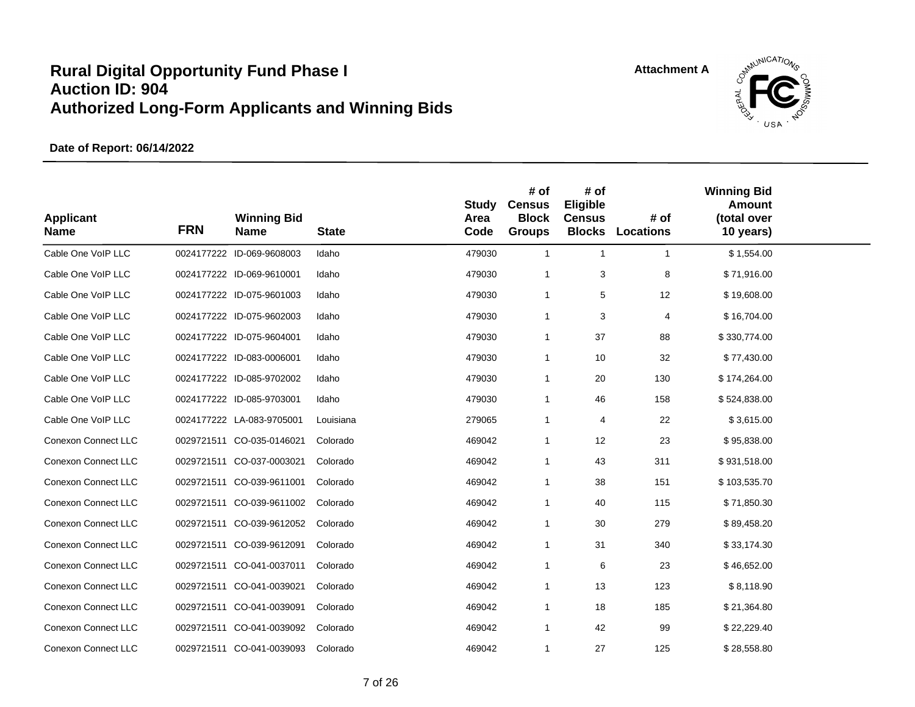

| <b>Applicant</b><br><b>Name</b> | <b>FRN</b> | <b>Winning Bid</b><br><b>Name</b> | <b>State</b> | <b>Study</b><br>Area<br>Code | # of<br><b>Census</b><br><b>Block</b><br><b>Groups</b> | # of<br>Eligible<br><b>Census</b><br><b>Blocks</b> | # of<br><b>Locations</b> | <b>Winning Bid</b><br><b>Amount</b><br>(total over<br>10 years) |  |
|---------------------------------|------------|-----------------------------------|--------------|------------------------------|--------------------------------------------------------|----------------------------------------------------|--------------------------|-----------------------------------------------------------------|--|
| Cable One VoIP LLC              |            | 0024177222 ID-069-9608003         | Idaho        | 479030                       | $\mathbf{1}$                                           | $\mathbf{1}$                                       | $\overline{1}$           | \$1,554.00                                                      |  |
| Cable One VoIP LLC              |            | 0024177222 ID-069-9610001         | Idaho        | 479030                       | $\mathbf{1}$                                           | 3                                                  | 8                        | \$71,916.00                                                     |  |
| Cable One VoIP LLC              |            | 0024177222 ID-075-9601003         | Idaho        | 479030                       | $\mathbf{1}$                                           | 5                                                  | 12                       | \$19,608.00                                                     |  |
| Cable One VoIP LLC              |            | 0024177222 ID-075-9602003         | Idaho        | 479030                       | $\mathbf{1}$                                           | 3                                                  | 4                        | \$16,704.00                                                     |  |
| Cable One VoIP LLC              |            | 0024177222 ID-075-9604001         | Idaho        | 479030                       | $\mathbf{1}$                                           | 37                                                 | 88                       | \$330,774.00                                                    |  |
| Cable One VoIP LLC              |            | 0024177222 ID-083-0006001         | Idaho        | 479030                       | $\mathbf{1}$                                           | 10                                                 | 32                       | \$77,430.00                                                     |  |
| Cable One VoIP LLC              |            | 0024177222 ID-085-9702002         | Idaho        | 479030                       | 1                                                      | 20                                                 | 130                      | \$174,264.00                                                    |  |
| Cable One VoIP LLC              |            | 0024177222 ID-085-9703001         | Idaho        | 479030                       | 1                                                      | 46                                                 | 158                      | \$524,838.00                                                    |  |
| Cable One VoIP LLC              |            | 0024177222 LA-083-9705001         | Louisiana    | 279065                       | 1                                                      | 4                                                  | 22                       | \$3,615.00                                                      |  |
| Conexon Connect LLC             |            | 0029721511 CO-035-0146021         | Colorado     | 469042                       | $\mathbf{1}$                                           | 12                                                 | 23                       | \$95,838.00                                                     |  |
| Conexon Connect LLC             |            | 0029721511 CO-037-0003021         | Colorado     | 469042                       | $\mathbf{1}$                                           | 43                                                 | 311                      | \$931,518.00                                                    |  |
| <b>Conexon Connect LLC</b>      |            | 0029721511 CO-039-9611001         | Colorado     | 469042                       | $\mathbf{1}$                                           | 38                                                 | 151                      | \$103,535.70                                                    |  |
| Conexon Connect LLC             |            | 0029721511 CO-039-9611002         | Colorado     | 469042                       | $\mathbf{1}$                                           | 40                                                 | 115                      | \$71,850.30                                                     |  |
| Conexon Connect LLC             |            | 0029721511 CO-039-9612052         | Colorado     | 469042                       | $\mathbf{1}$                                           | 30                                                 | 279                      | \$89,458.20                                                     |  |
| Conexon Connect LLC             |            | 0029721511 CO-039-9612091         | Colorado     | 469042                       | $\mathbf{1}$                                           | 31                                                 | 340                      | \$33,174.30                                                     |  |
| <b>Conexon Connect LLC</b>      |            | 0029721511 CO-041-0037011         | Colorado     | 469042                       | $\mathbf{1}$                                           | 6                                                  | 23                       | \$46,652.00                                                     |  |
| <b>Conexon Connect LLC</b>      |            | 0029721511 CO-041-0039021         | Colorado     | 469042                       | $\mathbf{1}$                                           | 13                                                 | 123                      | \$8,118.90                                                      |  |
| <b>Conexon Connect LLC</b>      |            | 0029721511 CO-041-0039091         | Colorado     | 469042                       | $\mathbf 1$                                            | 18                                                 | 185                      | \$21,364.80                                                     |  |
| <b>Conexon Connect LLC</b>      |            | 0029721511 CO-041-0039092         | Colorado     | 469042                       | $\mathbf{1}$                                           | 42                                                 | 99                       | \$22,229.40                                                     |  |
| <b>Conexon Connect LLC</b>      |            | 0029721511 CO-041-0039093         | Colorado     | 469042                       | $\mathbf{1}$                                           | 27                                                 | 125                      | \$28,558.80                                                     |  |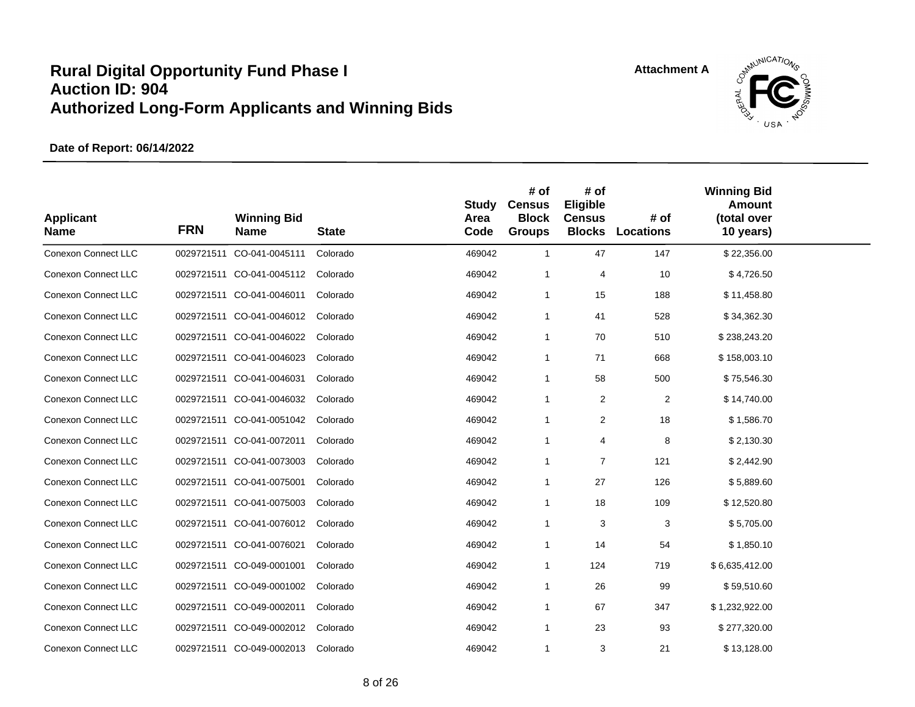

| <b>Applicant</b><br><b>Name</b> | <b>FRN</b> | <b>Winning Bid</b><br><b>Name</b> | <b>State</b> | Study<br>Area<br>Code | # of<br><b>Census</b><br><b>Block</b><br><b>Groups</b> | # of<br>Eligible<br><b>Census</b><br><b>Blocks</b> | # of<br>Locations | <b>Winning Bid</b><br>Amount<br>(total over<br>10 years) |  |
|---------------------------------|------------|-----------------------------------|--------------|-----------------------|--------------------------------------------------------|----------------------------------------------------|-------------------|----------------------------------------------------------|--|
| <b>Conexon Connect LLC</b>      | 0029721511 | CO-041-0045111                    | Colorado     | 469042                | $\mathbf{1}$                                           | 47                                                 | 147               | \$22,356.00                                              |  |
| <b>Conexon Connect LLC</b>      |            | 0029721511 CO-041-0045112         | Colorado     | 469042                | $\mathbf{1}$                                           | 4                                                  | 10                | \$4,726.50                                               |  |
| <b>Conexon Connect LLC</b>      |            | 0029721511 CO-041-0046011         | Colorado     | 469042                | 1                                                      | 15                                                 | 188               | \$11,458.80                                              |  |
| <b>Conexon Connect LLC</b>      |            | 0029721511 CO-041-0046012         | Colorado     | 469042                | $\mathbf{1}$                                           | 41                                                 | 528               | \$34,362.30                                              |  |
| <b>Conexon Connect LLC</b>      |            | 0029721511 CO-041-0046022         | Colorado     | 469042                | $\mathbf{1}$                                           | 70                                                 | 510               | \$238,243.20                                             |  |
| <b>Conexon Connect LLC</b>      |            | 0029721511 CO-041-0046023         | Colorado     | 469042                | $\mathbf{1}$                                           | 71                                                 | 668               | \$158,003.10                                             |  |
| <b>Conexon Connect LLC</b>      |            | 0029721511 CO-041-0046031         | Colorado     | 469042                | $\mathbf{1}$                                           | 58                                                 | 500               | \$75,546.30                                              |  |
| <b>Conexon Connect LLC</b>      |            | 0029721511 CO-041-0046032         | Colorado     | 469042                | 1                                                      | $\overline{2}$                                     | 2                 | \$14,740.00                                              |  |
| Conexon Connect LLC             |            | 0029721511 CO-041-0051042         | Colorado     | 469042                | 1                                                      | $\overline{2}$                                     | 18                | \$1,586.70                                               |  |
| <b>Conexon Connect LLC</b>      |            | 0029721511 CO-041-0072011         | Colorado     | 469042                | $\mathbf{1}$                                           | $\overline{4}$                                     | 8                 | \$2,130.30                                               |  |
| <b>Conexon Connect LLC</b>      |            | 0029721511 CO-041-0073003         | Colorado     | 469042                | $\mathbf{1}$                                           | $\overline{7}$                                     | 121               | \$2,442.90                                               |  |
| <b>Conexon Connect LLC</b>      |            | 0029721511 CO-041-0075001         | Colorado     | 469042                | $\mathbf{1}$                                           | 27                                                 | 126               | \$5,889.60                                               |  |
| <b>Conexon Connect LLC</b>      |            | 0029721511 CO-041-0075003         | Colorado     | 469042                | $\mathbf{1}$                                           | 18                                                 | 109               | \$12,520.80                                              |  |
| <b>Conexon Connect LLC</b>      |            | 0029721511 CO-041-0076012         | Colorado     | 469042                | $\mathbf{1}$                                           | 3                                                  | 3                 | \$5,705.00                                               |  |
| Conexon Connect LLC             |            | 0029721511 CO-041-0076021         | Colorado     | 469042                | $\mathbf{1}$                                           | 14                                                 | 54                | \$1,850.10                                               |  |
| Conexon Connect LLC             |            | 0029721511 CO-049-0001001         | Colorado     | 469042                | $\mathbf{1}$                                           | 124                                                | 719               | \$6,635,412.00                                           |  |
| Conexon Connect LLC             |            | 0029721511 CO-049-0001002         | Colorado     | 469042                | $\mathbf{1}$                                           | 26                                                 | 99                | \$59,510.60                                              |  |
| Conexon Connect LLC             |            | 0029721511 CO-049-0002011         | Colorado     | 469042                | $\mathbf{1}$                                           | 67                                                 | 347               | \$1,232,922.00                                           |  |
| <b>Conexon Connect LLC</b>      |            | 0029721511 CO-049-0002012         | Colorado     | 469042                | $\mathbf{1}$                                           | 23                                                 | 93                | \$277,320.00                                             |  |
| <b>Conexon Connect LLC</b>      |            | 0029721511 CO-049-0002013         | Colorado     | 469042                | $\mathbf{1}$                                           | 3                                                  | 21                | \$13,128.00                                              |  |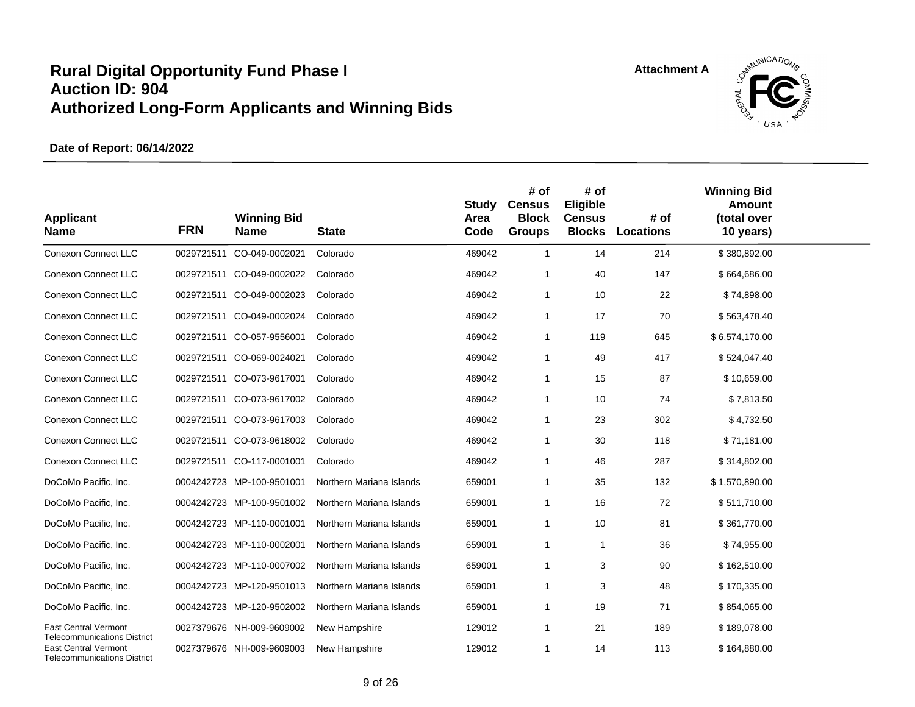

| <b>Applicant</b><br><b>Name</b>                                   | <b>FRN</b> | <b>Winning Bid</b><br><b>Name</b> | <b>State</b>             | <b>Study</b><br>Area<br>Code | # of<br><b>Census</b><br><b>Block</b><br><b>Groups</b> | # of<br>Eligible<br><b>Census</b> | # of<br><b>Blocks Locations</b> | <b>Winning Bid</b><br><b>Amount</b><br>(total over<br>10 years) |  |
|-------------------------------------------------------------------|------------|-----------------------------------|--------------------------|------------------------------|--------------------------------------------------------|-----------------------------------|---------------------------------|-----------------------------------------------------------------|--|
| <b>Conexon Connect LLC</b>                                        |            | 0029721511 CO-049-0002021         | Colorado                 | 469042                       | $\mathbf{1}$                                           | 14                                | 214                             | \$380,892.00                                                    |  |
| <b>Conexon Connect LLC</b>                                        |            | 0029721511 CO-049-0002022         | Colorado                 | 469042                       | $\overline{\mathbf{1}}$                                | 40                                | 147                             | \$664,686.00                                                    |  |
| <b>Conexon Connect LLC</b>                                        |            | 0029721511 CO-049-0002023         | Colorado                 | 469042                       | $\overline{1}$                                         | 10                                | 22                              | \$74,898.00                                                     |  |
| <b>Conexon Connect LLC</b>                                        |            | 0029721511 CO-049-0002024         | Colorado                 | 469042                       | $\mathbf 1$                                            | 17                                | 70                              | \$563,478.40                                                    |  |
| <b>Conexon Connect LLC</b>                                        | 0029721511 | CO-057-9556001                    | Colorado                 | 469042                       | $\overline{1}$                                         | 119                               | 645                             | \$6,574,170.00                                                  |  |
| Conexon Connect LLC                                               |            | 0029721511 CO-069-0024021         | Colorado                 | 469042                       | $\overline{1}$                                         | 49                                | 417                             | \$524,047.40                                                    |  |
| <b>Conexon Connect LLC</b>                                        |            | 0029721511 CO-073-9617001         | Colorado                 | 469042                       | $\mathbf 1$                                            | 15                                | 87                              | \$10,659.00                                                     |  |
| <b>Conexon Connect LLC</b>                                        |            | 0029721511 CO-073-9617002         | Colorado                 | 469042                       | $\overline{1}$                                         | 10                                | 74                              | \$7,813.50                                                      |  |
| <b>Conexon Connect LLC</b>                                        |            | 0029721511 CO-073-9617003         | Colorado                 | 469042                       | $\mathbf 1$                                            | 23                                | 302                             | \$4,732.50                                                      |  |
| <b>Conexon Connect LLC</b>                                        |            | 0029721511 CO-073-9618002         | Colorado                 | 469042                       | $\mathbf 1$                                            | 30                                | 118                             | \$71,181.00                                                     |  |
| <b>Conexon Connect LLC</b>                                        |            | 0029721511 CO-117-0001001         | Colorado                 | 469042                       | $\overline{1}$                                         | 46                                | 287                             | \$314,802.00                                                    |  |
| DoCoMo Pacific, Inc.                                              |            | 0004242723 MP-100-9501001         | Northern Mariana Islands | 659001                       | $\mathbf 1$                                            | 35                                | 132                             | \$1,570,890.00                                                  |  |
| DoCoMo Pacific, Inc.                                              |            | 0004242723 MP-100-9501002         | Northern Mariana Islands | 659001                       | $\overline{1}$                                         | 16                                | 72                              | \$511,710.00                                                    |  |
| DoCoMo Pacific, Inc.                                              |            | 0004242723 MP-110-0001001         | Northern Mariana Islands | 659001                       | $\overline{1}$                                         | 10                                | 81                              | \$361,770.00                                                    |  |
| DoCoMo Pacific, Inc.                                              |            | 0004242723 MP-110-0002001         | Northern Mariana Islands | 659001                       | $\overline{1}$                                         | $\mathbf{1}$                      | 36                              | \$74,955.00                                                     |  |
| DoCoMo Pacific, Inc.                                              |            | 0004242723 MP-110-0007002         | Northern Mariana Islands | 659001                       | $\overline{1}$                                         | 3                                 | 90                              | \$162,510.00                                                    |  |
| DoCoMo Pacific, Inc.                                              |            | 0004242723 MP-120-9501013         | Northern Mariana Islands | 659001                       | $\overline{1}$                                         | 3                                 | 48                              | \$170,335.00                                                    |  |
| DoCoMo Pacific, Inc.                                              |            | 0004242723 MP-120-9502002         | Northern Mariana Islands | 659001                       | $\overline{1}$                                         | 19                                | 71                              | \$854,065.00                                                    |  |
| <b>East Central Vermont</b><br><b>Telecommunications District</b> |            | 0027379676 NH-009-9609002         | New Hampshire            | 129012                       | $\overline{1}$                                         | 21                                | 189                             | \$189,078.00                                                    |  |
| <b>East Central Vermont</b><br><b>Telecommunications District</b> |            | 0027379676 NH-009-9609003         | New Hampshire            | 129012                       | $\overline{1}$                                         | 14                                | 113                             | \$164,880.00                                                    |  |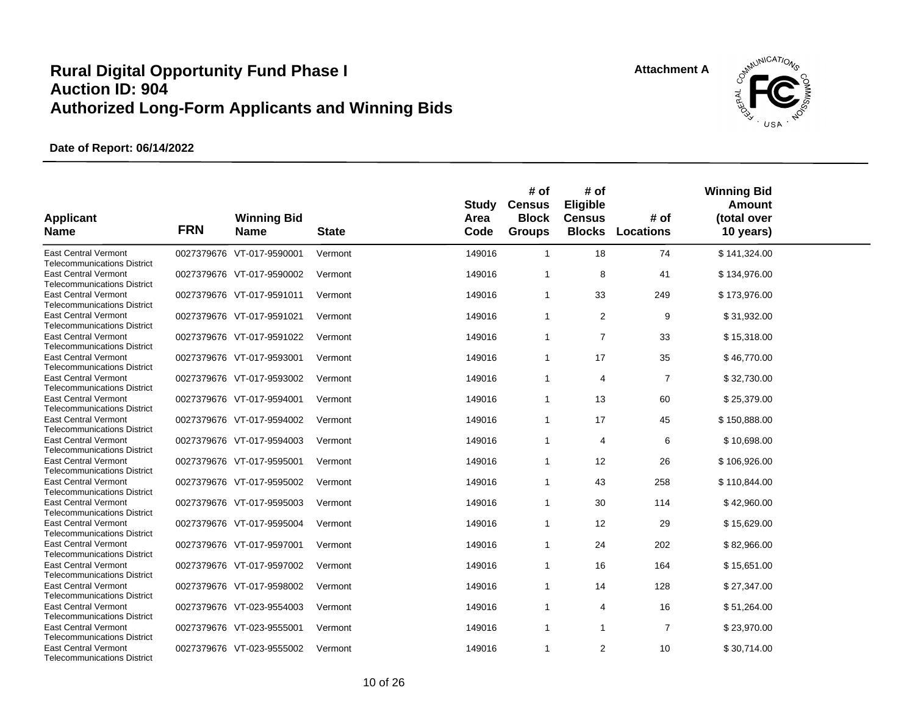

| <b>Applicant</b><br><b>Name</b>                                   | <b>FRN</b> | <b>Winning Bid</b><br><b>Name</b> | <b>State</b> | Study<br>Area<br>Code | # of<br><b>Census</b><br><b>Block</b><br><b>Groups</b> | # of<br>Eligible<br><b>Census</b><br><b>Blocks</b> | # of<br><b>Locations</b> | <b>Winning Bid</b><br>Amount<br>(total over<br>10 years) |  |
|-------------------------------------------------------------------|------------|-----------------------------------|--------------|-----------------------|--------------------------------------------------------|----------------------------------------------------|--------------------------|----------------------------------------------------------|--|
| <b>East Central Vermont</b><br><b>Telecommunications District</b> |            | 0027379676 VT-017-9590001         | Vermont      | 149016                | $\mathbf{1}$                                           | 18                                                 | 74                       | \$141,324.00                                             |  |
| <b>East Central Vermont</b><br><b>Telecommunications District</b> |            | 0027379676 VT-017-9590002         | Vermont      | 149016                | -1                                                     | 8                                                  | 41                       | \$134,976.00                                             |  |
| <b>East Central Vermont</b><br><b>Telecommunications District</b> |            | 0027379676 VT-017-9591011         | Vermont      | 149016                | $\mathbf{1}$                                           | 33                                                 | 249                      | \$173,976.00                                             |  |
| <b>East Central Vermont</b><br><b>Telecommunications District</b> |            | 0027379676 VT-017-9591021         | Vermont      | 149016                | $\mathbf{1}$                                           | $\overline{2}$                                     | 9                        | \$31,932.00                                              |  |
| <b>East Central Vermont</b><br><b>Telecommunications District</b> |            | 0027379676 VT-017-9591022         | Vermont      | 149016                | $\mathbf{1}$                                           | $\overline{7}$                                     | 33                       | \$15,318.00                                              |  |
| <b>East Central Vermont</b><br><b>Telecommunications District</b> |            | 0027379676 VT-017-9593001         | Vermont      | 149016                | $\mathbf{1}$                                           | 17                                                 | 35                       | \$46,770.00                                              |  |
| <b>East Central Vermont</b><br><b>Telecommunications District</b> |            | 0027379676 VT-017-9593002         | Vermont      | 149016                | $\mathbf{1}$                                           | 4                                                  | $\overline{7}$           | \$32,730.00                                              |  |
| <b>East Central Vermont</b><br><b>Telecommunications District</b> |            | 0027379676 VT-017-9594001         | Vermont      | 149016                | $\mathbf{1}$                                           | 13                                                 | 60                       | \$25,379.00                                              |  |
| <b>East Central Vermont</b><br><b>Telecommunications District</b> |            | 0027379676 VT-017-9594002         | Vermont      | 149016                | $\mathbf{1}$                                           | 17                                                 | 45                       | \$150,888.00                                             |  |
| <b>East Central Vermont</b><br><b>Telecommunications District</b> |            | 0027379676 VT-017-9594003         | Vermont      | 149016                | $\mathbf{1}$                                           | 4                                                  | 6                        | \$10,698.00                                              |  |
| <b>East Central Vermont</b><br><b>Telecommunications District</b> |            | 0027379676 VT-017-9595001         | Vermont      | 149016                | $\mathbf{1}$                                           | 12                                                 | 26                       | \$106,926.00                                             |  |
| <b>East Central Vermont</b><br><b>Telecommunications District</b> |            | 0027379676 VT-017-9595002         | Vermont      | 149016                | $\mathbf{1}$                                           | 43                                                 | 258                      | \$110,844.00                                             |  |
| <b>East Central Vermont</b><br><b>Telecommunications District</b> |            | 0027379676 VT-017-9595003         | Vermont      | 149016                | $\mathbf{1}$                                           | 30                                                 | 114                      | \$42,960.00                                              |  |
| <b>East Central Vermont</b><br><b>Telecommunications District</b> |            | 0027379676 VT-017-9595004         | Vermont      | 149016                | $\mathbf{1}$                                           | 12                                                 | 29                       | \$15,629.00                                              |  |
| <b>East Central Vermont</b><br><b>Telecommunications District</b> |            | 0027379676 VT-017-9597001         | Vermont      | 149016                | $\mathbf{1}$                                           | 24                                                 | 202                      | \$82,966.00                                              |  |
| <b>East Central Vermont</b><br><b>Telecommunications District</b> |            | 0027379676 VT-017-9597002         | Vermont      | 149016                | -1                                                     | 16                                                 | 164                      | \$15,651.00                                              |  |
| <b>East Central Vermont</b><br><b>Telecommunications District</b> |            | 0027379676 VT-017-9598002         | Vermont      | 149016                | $\mathbf{1}$                                           | 14                                                 | 128                      | \$27,347.00                                              |  |
| <b>East Central Vermont</b><br><b>Telecommunications District</b> |            | 0027379676 VT-023-9554003         | Vermont      | 149016                | $\mathbf{1}$                                           | $\overline{4}$                                     | 16                       | \$51,264.00                                              |  |
| <b>East Central Vermont</b><br><b>Telecommunications District</b> |            | 0027379676 VT-023-9555001         | Vermont      | 149016                | $\mathbf{1}$                                           | $\mathbf{1}$                                       | $\overline{7}$           | \$23,970.00                                              |  |
| <b>East Central Vermont</b><br><b>Telecommunications District</b> |            | 0027379676 VT-023-9555002         | Vermont      | 149016                | $\mathbf{1}$                                           | $\overline{2}$                                     | 10                       | \$30,714.00                                              |  |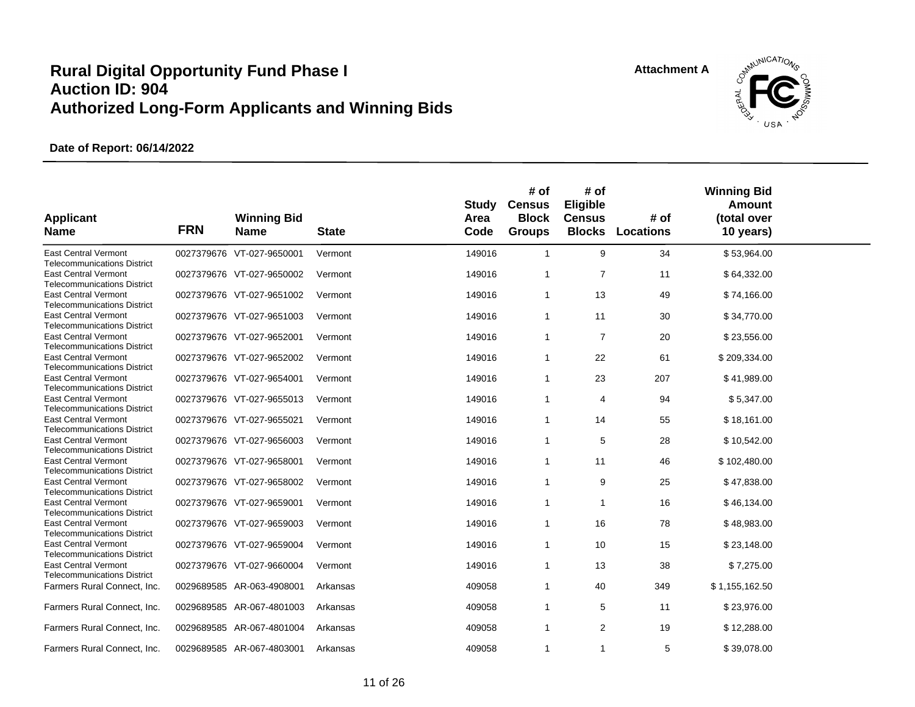

| <b>Applicant</b><br><b>Name</b>                                   | <b>FRN</b> | <b>Winning Bid</b><br><b>Name</b> | <b>State</b> | Study<br>Area<br>Code | # of<br><b>Census</b><br><b>Block</b><br><b>Groups</b> | # of<br>Eligible<br><b>Census</b><br><b>Blocks</b> | # of<br><b>Locations</b> | <b>Winning Bid</b><br>Amount<br>(total over<br>10 years) |  |
|-------------------------------------------------------------------|------------|-----------------------------------|--------------|-----------------------|--------------------------------------------------------|----------------------------------------------------|--------------------------|----------------------------------------------------------|--|
| <b>East Central Vermont</b><br><b>Telecommunications District</b> |            | 0027379676 VT-027-9650001         | Vermont      | 149016                | $\mathbf{1}$                                           | 9                                                  | 34                       | \$53,964.00                                              |  |
| <b>East Central Vermont</b><br><b>Telecommunications District</b> |            | 0027379676 VT-027-9650002         | Vermont      | 149016                | $\overline{1}$                                         | $\overline{7}$                                     | 11                       | \$64,332.00                                              |  |
| <b>East Central Vermont</b><br><b>Telecommunications District</b> |            | 0027379676 VT-027-9651002         | Vermont      | 149016                | $\overline{1}$                                         | 13                                                 | 49                       | \$74,166.00                                              |  |
| <b>East Central Vermont</b><br><b>Telecommunications District</b> |            | 0027379676 VT-027-9651003         | Vermont      | 149016                | $\overline{1}$                                         | 11                                                 | 30                       | \$34,770.00                                              |  |
| <b>East Central Vermont</b><br><b>Telecommunications District</b> |            | 0027379676 VT-027-9652001         | Vermont      | 149016                | $\overline{1}$                                         | $\overline{7}$                                     | 20                       | \$23,556.00                                              |  |
| <b>East Central Vermont</b><br><b>Telecommunications District</b> |            | 0027379676 VT-027-9652002         | Vermont      | 149016                | $\mathbf 1$                                            | 22                                                 | 61                       | \$209,334.00                                             |  |
| <b>East Central Vermont</b><br><b>Telecommunications District</b> |            | 0027379676 VT-027-9654001         | Vermont      | 149016                | $\overline{1}$                                         | 23                                                 | 207                      | \$41,989.00                                              |  |
| <b>East Central Vermont</b><br><b>Telecommunications District</b> |            | 0027379676 VT-027-9655013         | Vermont      | 149016                | $\mathbf 1$                                            | 4                                                  | 94                       | \$5,347.00                                               |  |
| <b>East Central Vermont</b><br><b>Telecommunications District</b> |            | 0027379676 VT-027-9655021         | Vermont      | 149016                | $\overline{1}$                                         | 14                                                 | 55                       | \$18,161.00                                              |  |
| <b>East Central Vermont</b><br><b>Telecommunications District</b> |            | 0027379676 VT-027-9656003         | Vermont      | 149016                | $\overline{1}$                                         | 5                                                  | 28                       | \$10,542.00                                              |  |
| <b>East Central Vermont</b><br><b>Telecommunications District</b> |            | 0027379676 VT-027-9658001         | Vermont      | 149016                | $\mathbf{1}$                                           | 11                                                 | 46                       | \$102,480.00                                             |  |
| <b>East Central Vermont</b><br><b>Telecommunications District</b> |            | 0027379676 VT-027-9658002         | Vermont      | 149016                | -1                                                     | 9                                                  | 25                       | \$47,838.00                                              |  |
| <b>East Central Vermont</b><br><b>Telecommunications District</b> |            | 0027379676 VT-027-9659001         | Vermont      | 149016                | $\overline{1}$                                         | -1                                                 | 16                       | \$46,134.00                                              |  |
| <b>East Central Vermont</b><br><b>Telecommunications District</b> |            | 0027379676 VT-027-9659003         | Vermont      | 149016                | $\mathbf 1$                                            | 16                                                 | 78                       | \$48,983.00                                              |  |
| <b>East Central Vermont</b><br><b>Telecommunications District</b> |            | 0027379676 VT-027-9659004         | Vermont      | 149016                | $\overline{1}$                                         | 10                                                 | 15                       | \$23,148.00                                              |  |
| <b>East Central Vermont</b><br><b>Telecommunications District</b> |            | 0027379676 VT-027-9660004         | Vermont      | 149016                | -1                                                     | 13                                                 | 38                       | \$7,275.00                                               |  |
| Farmers Rural Connect, Inc.                                       | 0029689585 | AR-063-4908001                    | Arkansas     | 409058                | $\mathbf{1}$                                           | 40                                                 | 349                      | \$1,155,162.50                                           |  |
| Farmers Rural Connect, Inc.                                       |            | 0029689585 AR-067-4801003         | Arkansas     | 409058                | $\mathbf 1$                                            | 5                                                  | 11                       | \$23,976.00                                              |  |
| Farmers Rural Connect, Inc.                                       |            | 0029689585 AR-067-4801004         | Arkansas     | 409058                | $\mathbf{1}$                                           | 2                                                  | 19                       | \$12,288.00                                              |  |
| Farmers Rural Connect, Inc.                                       |            | 0029689585 AR-067-4803001         | Arkansas     | 409058                | $\mathbf{1}$                                           | $\mathbf{1}$                                       | 5                        | \$39,078.00                                              |  |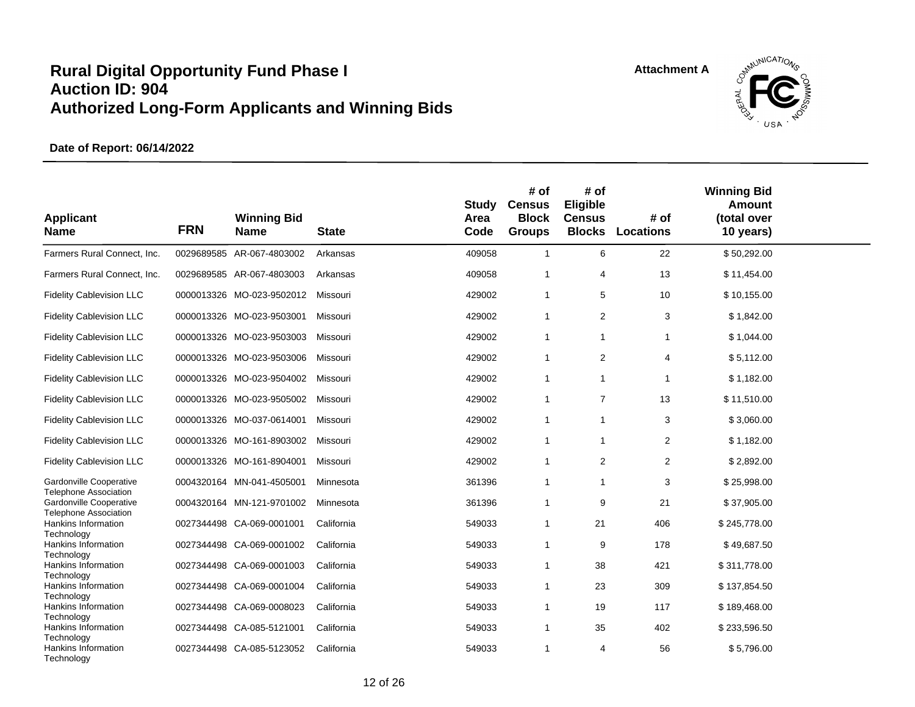

| <b>Applicant</b><br><b>Name</b>                         | <b>FRN</b> | <b>Winning Bid</b><br><b>Name</b> | <b>State</b> | <b>Study</b><br>Area<br>Code | # of<br><b>Census</b><br><b>Block</b><br><b>Groups</b> | # of<br>Eligible<br><b>Census</b><br><b>Blocks</b> | # of<br><b>Locations</b> | <b>Winning Bid</b><br>Amount<br>(total over<br>10 years) |  |
|---------------------------------------------------------|------------|-----------------------------------|--------------|------------------------------|--------------------------------------------------------|----------------------------------------------------|--------------------------|----------------------------------------------------------|--|
| Farmers Rural Connect, Inc.                             |            | 0029689585 AR-067-4803002         | Arkansas     | 409058                       | $\mathbf{1}$                                           | 6                                                  | 22                       | \$50,292.00                                              |  |
| Farmers Rural Connect, Inc.                             |            | 0029689585 AR-067-4803003         | Arkansas     | 409058                       | $\overline{1}$                                         | $\overline{4}$                                     | 13                       | \$11,454.00                                              |  |
| <b>Fidelity Cablevision LLC</b>                         |            | 0000013326 MO-023-9502012         | Missouri     | 429002                       | $\mathbf{1}$                                           | 5                                                  | 10                       | \$10,155.00                                              |  |
| <b>Fidelity Cablevision LLC</b>                         |            | 0000013326 MO-023-9503001         | Missouri     | 429002                       | $\mathbf{1}$                                           | 2                                                  | 3                        | \$1,842.00                                               |  |
| <b>Fidelity Cablevision LLC</b>                         |            | 0000013326 MO-023-9503003         | Missouri     | 429002                       | $\mathbf{1}$                                           | $\mathbf{1}$                                       | 1                        | \$1,044.00                                               |  |
| <b>Fidelity Cablevision LLC</b>                         |            | 0000013326 MO-023-9503006         | Missouri     | 429002                       | $\mathbf{1}$                                           | 2                                                  | $\overline{4}$           | \$5,112.00                                               |  |
| <b>Fidelity Cablevision LLC</b>                         |            | 0000013326 MO-023-9504002         | Missouri     | 429002                       | $\mathbf{1}$                                           | $\mathbf{1}$                                       | 1                        | \$1,182.00                                               |  |
| <b>Fidelity Cablevision LLC</b>                         |            | 0000013326 MO-023-9505002         | Missouri     | 429002                       | $\mathbf{1}$                                           | $\overline{7}$                                     | 13                       | \$11,510.00                                              |  |
| <b>Fidelity Cablevision LLC</b>                         |            | 0000013326 MO-037-0614001         | Missouri     | 429002                       | $\overline{1}$                                         | $\overline{1}$                                     | 3                        | \$3,060.00                                               |  |
| <b>Fidelity Cablevision LLC</b>                         |            | 0000013326 MO-161-8903002         | Missouri     | 429002                       | $\overline{1}$                                         | $\overline{1}$                                     | $\overline{2}$           | \$1,182.00                                               |  |
| <b>Fidelity Cablevision LLC</b>                         |            | 0000013326 MO-161-8904001         | Missouri     | 429002                       | $\mathbf{1}$                                           | 2                                                  | 2                        | \$2,892.00                                               |  |
| Gardonville Cooperative                                 |            | 0004320164 MN-041-4505001         | Minnesota    | 361396                       | $\overline{1}$                                         | $\mathbf{1}$                                       | 3                        | \$25,998.00                                              |  |
| <b>Telephone Association</b><br>Gardonville Cooperative |            | 0004320164 MN-121-9701002         | Minnesota    | 361396                       | $\overline{1}$                                         | 9                                                  | 21                       | \$37,905.00                                              |  |
| <b>Telephone Association</b><br>Hankins Information     |            | 0027344498 CA-069-0001001         | California   | 549033                       | -1                                                     | 21                                                 | 406                      | \$245,778.00                                             |  |
| Technology<br>Hankins Information                       |            | 0027344498 CA-069-0001002         | California   | 549033                       | $\overline{1}$                                         | 9                                                  | 178                      | \$49,687.50                                              |  |
| Technology<br>Hankins Information                       |            | 0027344498 CA-069-0001003         | California   | 549033                       | $\overline{1}$                                         | 38                                                 | 421                      | \$311,778.00                                             |  |
| Technology<br>Hankins Information                       |            | 0027344498 CA-069-0001004         | California   | 549033                       | $\overline{1}$                                         | 23                                                 | 309                      | \$137,854.50                                             |  |
| Technology<br>Hankins Information                       |            | 0027344498 CA-069-0008023         | California   | 549033                       | -1                                                     | 19                                                 | 117                      | \$189,468.00                                             |  |
| Technology                                              |            |                                   |              |                              |                                                        |                                                    |                          |                                                          |  |
| Hankins Information<br>Technology                       |            | 0027344498 CA-085-5121001         | California   | 549033                       | -1                                                     | 35                                                 | 402                      | \$233,596.50                                             |  |
| Hankins Information<br>Technology                       |            | 0027344498 CA-085-5123052         | California   | 549033                       | $\overline{1}$                                         | $\overline{4}$                                     | 56                       | \$5,796.00                                               |  |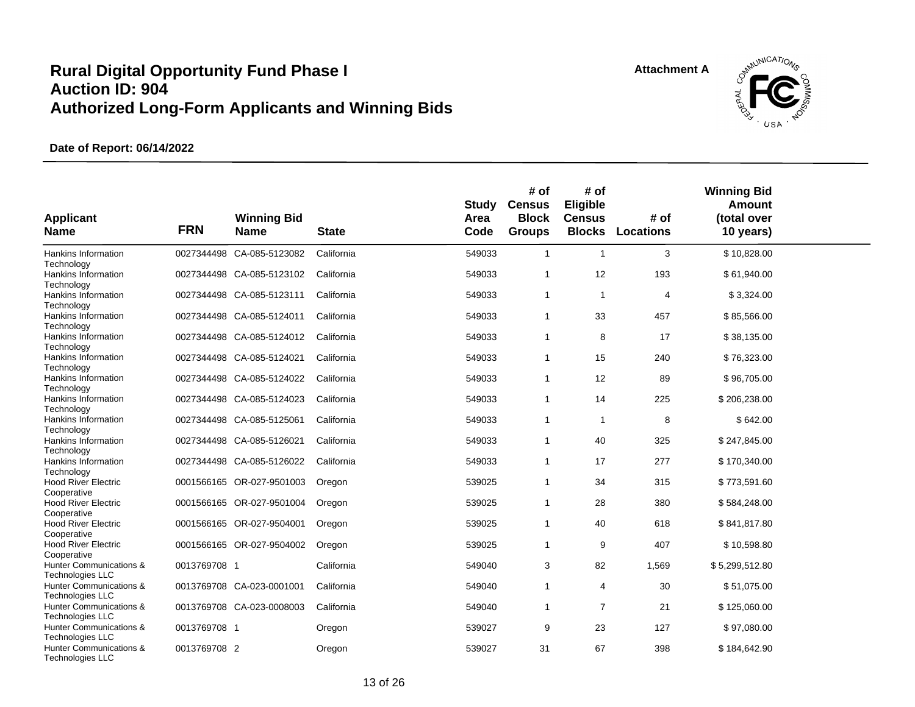

| <b>Applicant</b><br><b>Name</b>                                               | <b>FRN</b>   | <b>Winning Bid</b><br><b>Name</b> | <b>State</b> | <b>Study</b><br>Area<br>Code | # of<br><b>Census</b><br><b>Block</b><br><b>Groups</b> | # of<br><b>Eligible</b><br><b>Census</b><br><b>Blocks</b> | # of<br><b>Locations</b> | <b>Winning Bid</b><br>Amount<br>(total over<br>10 years) |  |
|-------------------------------------------------------------------------------|--------------|-----------------------------------|--------------|------------------------------|--------------------------------------------------------|-----------------------------------------------------------|--------------------------|----------------------------------------------------------|--|
| Hankins Information                                                           |              | 0027344498 CA-085-5123082         | California   | 549033                       | $\mathbf{1}$                                           | $\mathbf{1}$                                              | 3                        | \$10,828.00                                              |  |
| Technology<br>Hankins Information                                             |              | 0027344498 CA-085-5123102         | California   | 549033                       | $\mathbf{1}$                                           | 12                                                        | 193                      | \$61,940.00                                              |  |
| Technology<br>Hankins Information                                             |              | 0027344498 CA-085-5123111         | California   | 549033                       | $\mathbf{1}$                                           | $\mathbf{1}$                                              | $\overline{4}$           | \$3,324.00                                               |  |
| Technology<br>Hankins Information                                             |              | 0027344498 CA-085-5124011         | California   | 549033                       | $\mathbf{1}$                                           | 33                                                        | 457                      | \$85,566.00                                              |  |
| Technology<br>Hankins Information                                             |              | 0027344498 CA-085-5124012         | California   | 549033                       | $\mathbf{1}$                                           | 8                                                         | 17                       | \$38,135.00                                              |  |
| Technology<br>Hankins Information                                             |              | 0027344498 CA-085-5124021         | California   | 549033                       | $\mathbf{1}$                                           | 15                                                        | 240                      | \$76,323.00                                              |  |
| Technology<br>Hankins Information                                             |              | 0027344498 CA-085-5124022         | California   | 549033                       | $\mathbf{1}$                                           | 12                                                        | 89                       | \$96,705.00                                              |  |
| Technology<br>Hankins Information                                             |              | 0027344498 CA-085-5124023         | California   | 549033                       | $\mathbf{1}$                                           | 14                                                        | 225                      | \$206,238.00                                             |  |
| Technology<br>Hankins Information                                             |              | 0027344498 CA-085-5125061         | California   | 549033                       | $\mathbf{1}$                                           | $\mathbf{1}$                                              | 8                        | \$642.00                                                 |  |
| Technology<br>Hankins Information                                             |              | 0027344498 CA-085-5126021         | California   | 549033                       | $\mathbf{1}$                                           | 40                                                        | 325                      | \$247,845.00                                             |  |
| Technology<br>Hankins Information                                             |              | 0027344498 CA-085-5126022         | California   | 549033                       | $\mathbf{1}$                                           | 17                                                        | 277                      | \$170,340.00                                             |  |
| Technology<br><b>Hood River Electric</b>                                      |              | 0001566165 OR-027-9501003         | Oregon       | 539025                       | $\mathbf{1}$                                           | 34                                                        | 315                      | \$773,591.60                                             |  |
| Cooperative<br><b>Hood River Electric</b>                                     |              | 0001566165 OR-027-9501004         | Oregon       | 539025                       | $\mathbf{1}$                                           | 28                                                        | 380                      | \$584,248.00                                             |  |
| Cooperative<br><b>Hood River Electric</b>                                     |              | 0001566165 OR-027-9504001         | Oregon       | 539025                       | $\mathbf{1}$                                           | 40                                                        | 618                      | \$841,817.80                                             |  |
| Cooperative<br><b>Hood River Electric</b>                                     |              | 0001566165 OR-027-9504002         | Oregon       | 539025                       | $\mathbf{1}$                                           | 9                                                         | 407                      | \$10,598.80                                              |  |
| Cooperative<br>Hunter Communications &                                        | 0013769708 1 |                                   | California   | 549040                       | 3                                                      | 82                                                        | 1,569                    | \$5,299,512.80                                           |  |
| <b>Technologies LLC</b><br>Hunter Communications &<br><b>Technologies LLC</b> |              | 0013769708 CA-023-0001001         | California   | 549040                       | 1                                                      | 4                                                         | 30                       | \$51,075.00                                              |  |
| Hunter Communications &<br><b>Technologies LLC</b>                            |              | 0013769708 CA-023-0008003         | California   | 549040                       | $\mathbf{1}$                                           | $\overline{7}$                                            | 21                       | \$125,060.00                                             |  |
| Hunter Communications &<br><b>Technologies LLC</b>                            | 0013769708 1 |                                   | Oregon       | 539027                       | 9                                                      | 23                                                        | 127                      | \$97,080.00                                              |  |
| Hunter Communications &<br><b>Technologies LLC</b>                            | 0013769708 2 |                                   | Oregon       | 539027                       | 31                                                     | 67                                                        | 398                      | \$184,642.90                                             |  |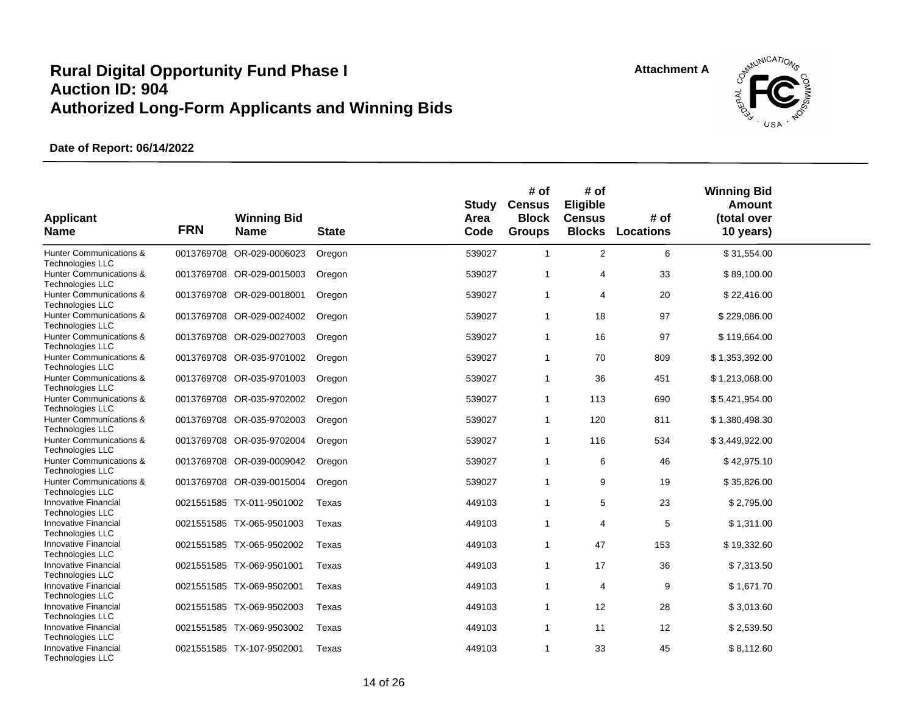

| <b>Applicant</b><br><b>Name</b>                    | <b>FRN</b> | <b>Winning Bid</b><br><b>Name</b> | <b>State</b> | <b>Study</b><br>Area<br>Code | # of<br><b>Census</b><br><b>Block</b><br><b>Groups</b> | # of<br>Eligible<br><b>Census</b><br><b>Blocks</b> | # of<br><b>Locations</b> | <b>Winning Bid</b><br>Amount<br>(total over<br>10 years) |  |
|----------------------------------------------------|------------|-----------------------------------|--------------|------------------------------|--------------------------------------------------------|----------------------------------------------------|--------------------------|----------------------------------------------------------|--|
| Hunter Communications &<br><b>Technologies LLC</b> |            | 0013769708 OR-029-0006023         | Oregon       | 539027                       | $\mathbf{1}$                                           | $\overline{2}$                                     | 6                        | \$31,554.00                                              |  |
| Hunter Communications &<br><b>Technologies LLC</b> |            | 0013769708 OR-029-0015003         | Oregon       | 539027                       | $\overline{1}$                                         | $\overline{4}$                                     | 33                       | \$89,100.00                                              |  |
| Hunter Communications &<br><b>Technologies LLC</b> |            | 0013769708 OR-029-0018001         | Oregon       | 539027                       | $\overline{1}$                                         | 4                                                  | 20                       | \$22,416.00                                              |  |
| Hunter Communications &<br><b>Technologies LLC</b> |            | 0013769708 OR-029-0024002         | Oregon       | 539027                       | $\mathbf{1}$                                           | 18                                                 | 97                       | \$229,086.00                                             |  |
| Hunter Communications &<br>Technologies LLC        |            | 0013769708 OR-029-0027003         | Oregon       | 539027                       | $\overline{1}$                                         | 16                                                 | 97                       | \$119,664.00                                             |  |
| Hunter Communications &<br>Technologies LLC        |            | 0013769708 OR-035-9701002         | Oregon       | 539027                       | $\mathbf{1}$                                           | 70                                                 | 809                      | \$1,353,392.00                                           |  |
| Hunter Communications &<br><b>Technologies LLC</b> |            | 0013769708 OR-035-9701003         | Oregon       | 539027                       | $\overline{1}$                                         | 36                                                 | 451                      | \$1,213,068.00                                           |  |
| Hunter Communications &<br>Technologies LLC        |            | 0013769708 OR-035-9702002         | Oregon       | 539027                       | $\mathbf{1}$                                           | 113                                                | 690                      | \$5,421,954.00                                           |  |
| Hunter Communications &<br><b>Technologies LLC</b> |            | 0013769708 OR-035-9702003         | Oregon       | 539027                       | $\mathbf{1}$                                           | 120                                                | 811                      | \$1,380,498.30                                           |  |
| Hunter Communications &<br>Technologies LLC        |            | 0013769708 OR-035-9702004         | Oregon       | 539027                       | $\mathbf{1}$                                           | 116                                                | 534                      | \$3,449,922.00                                           |  |
| Hunter Communications &<br><b>Technologies LLC</b> |            | 0013769708 OR-039-0009042         | Oregon       | 539027                       | $\mathbf{1}$                                           | 6                                                  | 46                       | \$42,975.10                                              |  |
| Hunter Communications &<br><b>Technologies LLC</b> |            | 0013769708 OR-039-0015004         | Oregon       | 539027                       | $\overline{1}$                                         | 9                                                  | 19                       | \$35,826.00                                              |  |
| Innovative Financial<br>Technologies LLC           |            | 0021551585 TX-011-9501002         | Texas        | 449103                       | $\mathbf{1}$                                           | 5                                                  | 23                       | \$2,795.00                                               |  |
| Innovative Financial<br><b>Technologies LLC</b>    |            | 0021551585 TX-065-9501003         | Texas        | 449103                       | $\mathbf{1}$                                           | 4                                                  | 5                        | \$1,311.00                                               |  |
| Innovative Financial<br>Technologies LLC           |            | 0021551585 TX-065-9502002         | Texas        | 449103                       | $\overline{1}$                                         | 47                                                 | 153                      | \$19,332.60                                              |  |
| Innovative Financial<br><b>Technologies LLC</b>    |            | 0021551585 TX-069-9501001         | Texas        | 449103                       | $\mathbf{1}$                                           | 17                                                 | 36                       | \$7,313.50                                               |  |
| Innovative Financial<br>Technologies LLC           |            | 0021551585 TX-069-9502001         | Texas        | 449103                       | $\mathbf{1}$                                           | 4                                                  | 9                        | \$1,671.70                                               |  |
| Innovative Financial<br><b>Technologies LLC</b>    |            | 0021551585 TX-069-9502003         | Texas        | 449103                       | $\mathbf{1}$                                           | 12                                                 | 28                       | \$3,013.60                                               |  |
| Innovative Financial<br><b>Technologies LLC</b>    |            | 0021551585 TX-069-9503002         | Texas        | 449103                       | $\mathbf{1}$                                           | 11                                                 | 12                       | \$2,539.50                                               |  |
| Innovative Financial<br><b>Technologies LLC</b>    |            | 0021551585 TX-107-9502001         | Texas        | 449103                       | $\mathbf{1}$                                           | 33                                                 | 45                       | \$8,112.60                                               |  |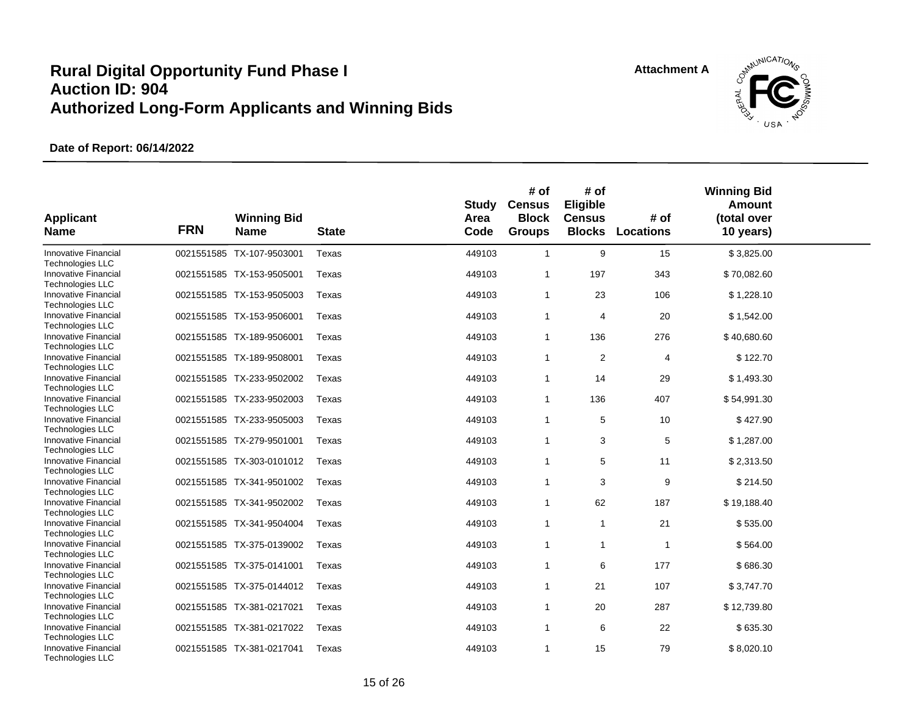

| <b>Applicant</b><br><b>Name</b>                        | <b>FRN</b> | <b>Winning Bid</b><br><b>Name</b> | <b>State</b> | <b>Study</b><br>Area<br>Code | # of<br><b>Census</b><br><b>Block</b><br><b>Groups</b> | # of<br>Eligible<br><b>Census</b><br><b>Blocks</b> | # of<br>Locations | <b>Winning Bid</b><br>Amount<br>(total over<br>10 years) |  |
|--------------------------------------------------------|------------|-----------------------------------|--------------|------------------------------|--------------------------------------------------------|----------------------------------------------------|-------------------|----------------------------------------------------------|--|
| Innovative Financial<br><b>Technologies LLC</b>        |            | 0021551585 TX-107-9503001         | Texas        | 449103                       | $\overline{1}$                                         | 9                                                  | 15                | \$3,825.00                                               |  |
| Innovative Financial<br><b>Technologies LLC</b>        |            | 0021551585 TX-153-9505001         | Texas        | 449103                       | $\overline{1}$                                         | 197                                                | 343               | \$70,082.60                                              |  |
| <b>Innovative Financial</b><br><b>Technologies LLC</b> |            | 0021551585 TX-153-9505003         | Texas        | 449103                       | $\overline{1}$                                         | 23                                                 | 106               | \$1,228.10                                               |  |
| Innovative Financial<br><b>Technologies LLC</b>        |            | 0021551585 TX-153-9506001         | Texas        | 449103                       | $\mathbf{1}$                                           | 4                                                  | 20                | \$1,542.00                                               |  |
| Innovative Financial<br><b>Technologies LLC</b>        |            | 0021551585 TX-189-9506001         | Texas        | 449103                       | $\overline{1}$                                         | 136                                                | 276               | \$40,680.60                                              |  |
| Innovative Financial<br><b>Technologies LLC</b>        |            | 0021551585 TX-189-9508001         | Texas        | 449103                       | $\mathbf{1}$                                           | $\overline{c}$                                     | 4                 | \$122.70                                                 |  |
| <b>Innovative Financial</b><br><b>Technologies LLC</b> |            | 0021551585 TX-233-9502002         | Texas        | 449103                       | $\overline{1}$                                         | 14                                                 | 29                | \$1,493.30                                               |  |
| <b>Innovative Financial</b><br><b>Technologies LLC</b> |            | 0021551585 TX-233-9502003         | Texas        | 449103                       | $\overline{1}$                                         | 136                                                | 407               | \$54,991.30                                              |  |
| Innovative Financial<br><b>Technologies LLC</b>        |            | 0021551585 TX-233-9505003         | Texas        | 449103                       | $\overline{1}$                                         | 5                                                  | 10                | \$427.90                                                 |  |
| Innovative Financial<br><b>Technologies LLC</b>        |            | 0021551585 TX-279-9501001         | Texas        | 449103                       | $\overline{1}$                                         | 3                                                  | 5                 | \$1,287.00                                               |  |
| <b>Innovative Financial</b><br><b>Technologies LLC</b> |            | 0021551585 TX-303-0101012         | Texas        | 449103                       | $\overline{1}$                                         | 5                                                  | 11                | \$2,313.50                                               |  |
| Innovative Financial<br><b>Technologies LLC</b>        |            | 0021551585 TX-341-9501002         | Texas        | 449103                       | $\overline{1}$                                         | 3                                                  | 9                 | \$214.50                                                 |  |
| <b>Innovative Financial</b><br><b>Technologies LLC</b> |            | 0021551585 TX-341-9502002         | Texas        | 449103                       | $\mathbf{1}$                                           | 62                                                 | 187               | \$19,188.40                                              |  |
| <b>Innovative Financial</b><br><b>Technologies LLC</b> |            | 0021551585 TX-341-9504004         | Texas        | 449103                       | $\overline{1}$                                         | $\overline{1}$                                     | 21                | \$535.00                                                 |  |
| Innovative Financial<br><b>Technologies LLC</b>        |            | 0021551585 TX-375-0139002         | Texas        | 449103                       | $\overline{1}$                                         | $\mathbf{1}$                                       | 1                 | \$564.00                                                 |  |
| <b>Innovative Financial</b><br><b>Technologies LLC</b> |            | 0021551585 TX-375-0141001         | Texas        | 449103                       | $\overline{1}$                                         | 6                                                  | 177               | \$686.30                                                 |  |
| Innovative Financial<br>Technologies LLC               |            | 0021551585 TX-375-0144012         | Texas        | 449103                       | $\overline{1}$                                         | 21                                                 | 107               | \$3,747.70                                               |  |
| <b>Innovative Financial</b><br><b>Technologies LLC</b> |            | 0021551585 TX-381-0217021         | Texas        | 449103                       | $\mathbf{1}$                                           | 20                                                 | 287               | \$12,739.80                                              |  |
| <b>Innovative Financial</b><br>Technologies LLC        |            | 0021551585 TX-381-0217022         | Texas        | 449103                       | $\mathbf{1}$                                           | 6                                                  | 22                | \$635.30                                                 |  |
| <b>Innovative Financial</b><br>Technologies LLC        |            | 0021551585 TX-381-0217041         | Texas        | 449103                       | $\mathbf{1}$                                           | 15                                                 | 79                | \$8,020.10                                               |  |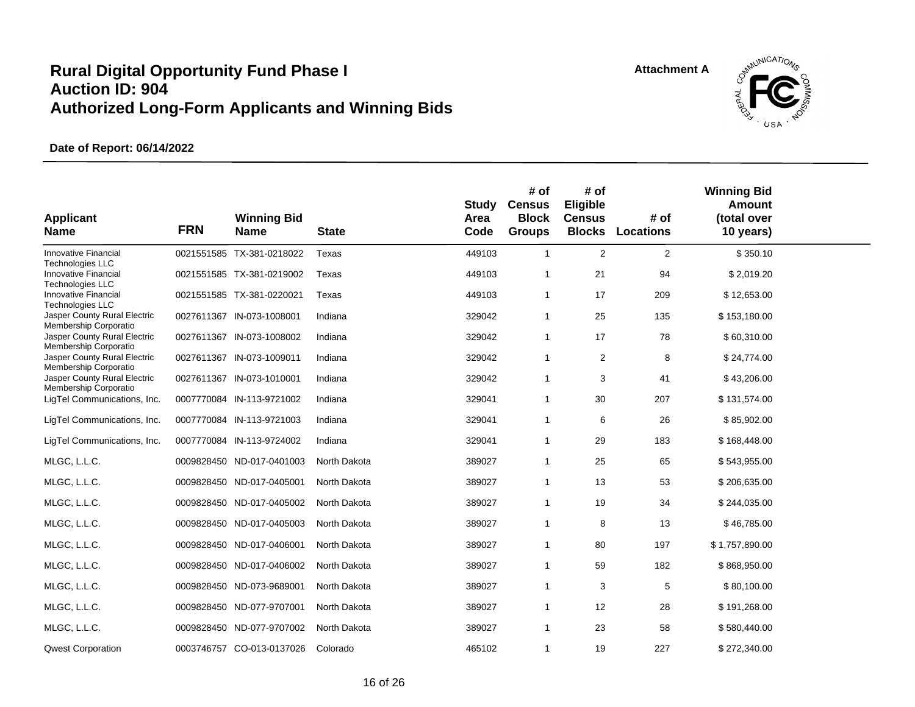

| <b>Applicant</b><br><b>Name</b>                        | <b>FRN</b> | <b>Winning Bid</b><br><b>Name</b> | <b>State</b> | <b>Study</b><br>Area<br>Code | # of<br><b>Census</b><br><b>Block</b><br><b>Groups</b> | # of<br>Eligible<br><b>Census</b><br><b>Blocks</b> | # of<br><b>Locations</b> | <b>Winning Bid</b><br>Amount<br>(total over<br>10 years) |  |
|--------------------------------------------------------|------------|-----------------------------------|--------------|------------------------------|--------------------------------------------------------|----------------------------------------------------|--------------------------|----------------------------------------------------------|--|
| Innovative Financial<br><b>Technologies LLC</b>        |            | 0021551585 TX-381-0218022         | Texas        | 449103                       | $\mathbf{1}$                                           | $\overline{2}$                                     | $\overline{c}$           | \$350.10                                                 |  |
| Innovative Financial<br>Technologies LLC               |            | 0021551585 TX-381-0219002         | Texas        | 449103                       | 1                                                      | 21                                                 | 94                       | \$2,019.20                                               |  |
| <b>Innovative Financial</b><br><b>Technologies LLC</b> |            | 0021551585 TX-381-0220021         | Texas        | 449103                       | 1                                                      | 17                                                 | 209                      | \$12,653.00                                              |  |
| Jasper County Rural Electric<br>Membership Corporatio  |            | 0027611367 IN-073-1008001         | Indiana      | 329042                       | 1                                                      | 25                                                 | 135                      | \$153,180.00                                             |  |
| Jasper County Rural Electric<br>Membership Corporatio  |            | 0027611367 IN-073-1008002         | Indiana      | 329042                       | 1                                                      | 17                                                 | 78                       | \$60,310.00                                              |  |
| Jasper County Rural Electric<br>Membership Corporatio  |            | 0027611367 IN-073-1009011         | Indiana      | 329042                       | $\mathbf{1}$                                           | 2                                                  | 8                        | \$24,774.00                                              |  |
| Jasper County Rural Electric<br>Membership Corporatio  |            | 0027611367 IN-073-1010001         | Indiana      | 329042                       | 1                                                      | 3                                                  | 41                       | \$43,206.00                                              |  |
| LigTel Communications, Inc.                            |            | 0007770084 IN-113-9721002         | Indiana      | 329041                       | 1                                                      | 30                                                 | 207                      | \$131,574.00                                             |  |
| LigTel Communications, Inc.                            |            | 0007770084 IN-113-9721003         | Indiana      | 329041                       | 1                                                      | 6                                                  | 26                       | \$85,902.00                                              |  |
| LigTel Communications, Inc.                            |            | 0007770084 IN-113-9724002         | Indiana      | 329041                       | 1                                                      | 29                                                 | 183                      | \$168,448.00                                             |  |
| MLGC, L.L.C.                                           |            | 0009828450 ND-017-0401003         | North Dakota | 389027                       | 1                                                      | 25                                                 | 65                       | \$543,955.00                                             |  |
| MLGC, L.L.C.                                           |            | 0009828450 ND-017-0405001         | North Dakota | 389027                       | 1                                                      | 13                                                 | 53                       | \$206,635.00                                             |  |
| MLGC, L.L.C.                                           |            | 0009828450 ND-017-0405002         | North Dakota | 389027                       | 1                                                      | 19                                                 | 34                       | \$244,035.00                                             |  |
| MLGC, L.L.C.                                           |            | 0009828450 ND-017-0405003         | North Dakota | 389027                       | 1                                                      | 8                                                  | 13                       | \$46,785.00                                              |  |
| MLGC, L.L.C.                                           |            | 0009828450 ND-017-0406001         | North Dakota | 389027                       | $\mathbf{1}$                                           | 80                                                 | 197                      | \$1,757,890.00                                           |  |
| MLGC, L.L.C.                                           |            | 0009828450 ND-017-0406002         | North Dakota | 389027                       | 1                                                      | 59                                                 | 182                      | \$868,950.00                                             |  |
| MLGC, L.L.C.                                           |            | 0009828450 ND-073-9689001         | North Dakota | 389027                       | 1                                                      | 3                                                  | 5                        | \$80,100.00                                              |  |
| MLGC, L.L.C.                                           |            | 0009828450 ND-077-9707001         | North Dakota | 389027                       | 1                                                      | 12                                                 | 28                       | \$191,268.00                                             |  |
| MLGC, L.L.C.                                           |            | 0009828450 ND-077-9707002         | North Dakota | 389027                       | 1                                                      | 23                                                 | 58                       | \$580,440.00                                             |  |
| <b>Qwest Corporation</b>                               |            | 0003746757 CO-013-0137026         | Colorado     | 465102                       | 1                                                      | 19                                                 | 227                      | \$272,340.00                                             |  |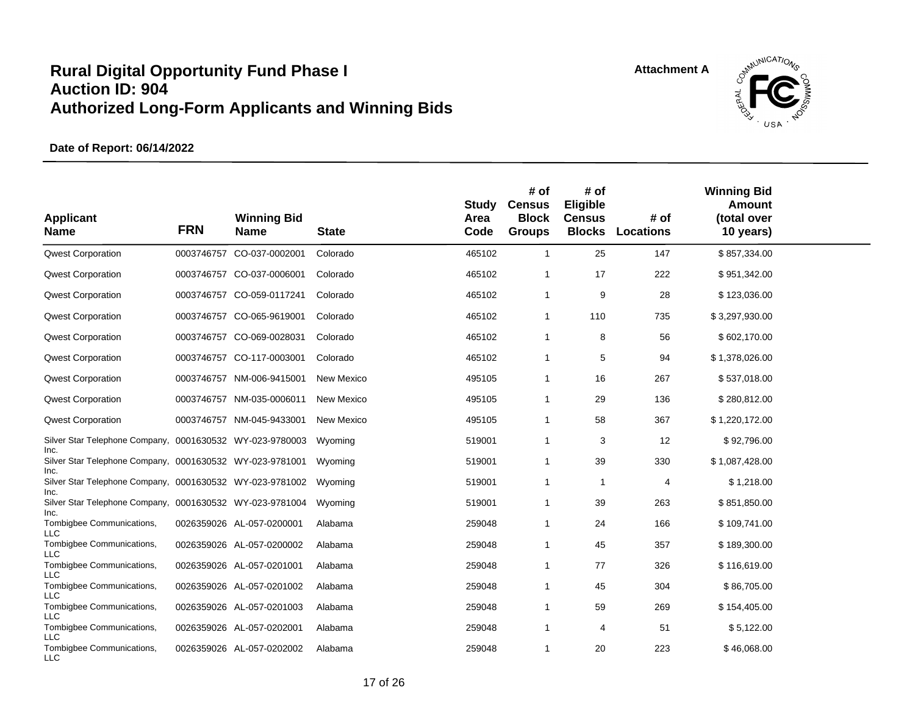

| <b>Applicant</b><br><b>Name</b>                                          | <b>FRN</b> | <b>Winning Bid</b><br><b>Name</b> | <b>State</b> | Study<br>Area<br>Code | # of<br><b>Census</b><br><b>Block</b><br><b>Groups</b> | # of<br>Eligible<br><b>Census</b><br><b>Blocks</b> | # of<br><b>Locations</b> | <b>Winning Bid</b><br><b>Amount</b><br>(total over<br>10 years) |  |
|--------------------------------------------------------------------------|------------|-----------------------------------|--------------|-----------------------|--------------------------------------------------------|----------------------------------------------------|--------------------------|-----------------------------------------------------------------|--|
| <b>Qwest Corporation</b>                                                 | 0003746757 | CO-037-0002001                    | Colorado     | 465102                | $\mathbf{1}$                                           | 25                                                 | 147                      | \$857,334.00                                                    |  |
| <b>Qwest Corporation</b>                                                 |            | 0003746757 CO-037-0006001         | Colorado     | 465102                | $\overline{1}$                                         | 17                                                 | 222                      | \$951,342.00                                                    |  |
| <b>Qwest Corporation</b>                                                 |            | 0003746757 CO-059-0117241         | Colorado     | 465102                | $\mathbf{1}$                                           | 9                                                  | 28                       | \$123,036.00                                                    |  |
| <b>Qwest Corporation</b>                                                 |            | 0003746757 CO-065-9619001         | Colorado     | 465102                | $\mathbf{1}$                                           | 110                                                | 735                      | \$3,297,930.00                                                  |  |
| <b>Qwest Corporation</b>                                                 |            | 0003746757 CO-069-0028031         | Colorado     | 465102                | $\overline{1}$                                         | 8                                                  | 56                       | \$602,170.00                                                    |  |
| <b>Qwest Corporation</b>                                                 |            | 0003746757 CO-117-0003001         | Colorado     | 465102                | $\overline{1}$                                         | 5                                                  | 94                       | \$1,378,026.00                                                  |  |
| <b>Qwest Corporation</b>                                                 |            | 0003746757 NM-006-9415001         | New Mexico   | 495105                | -1                                                     | 16                                                 | 267                      | \$537,018.00                                                    |  |
| <b>Qwest Corporation</b>                                                 |            | 0003746757 NM-035-0006011         | New Mexico   | 495105                | $\overline{1}$                                         | 29                                                 | 136                      | \$280,812.00                                                    |  |
| <b>Qwest Corporation</b>                                                 |            | 0003746757 NM-045-9433001         | New Mexico   | 495105                | -1                                                     | 58                                                 | 367                      | \$1,220,172.00                                                  |  |
| Silver Star Telephone Company, 0001630532 WY-023-9780003                 |            |                                   | Wyoming      | 519001                | -1                                                     | 3                                                  | 12                       | \$92,796.00                                                     |  |
| Inc.<br>Silver Star Telephone Company, 0001630532 WY-023-9781001<br>Inc. |            |                                   | Wyoming      | 519001                | $\overline{1}$                                         | 39                                                 | 330                      | \$1,087,428.00                                                  |  |
| Silver Star Telephone Company, 0001630532 WY-023-9781002<br>Inc.         |            |                                   | Wyoming      | 519001                | $\overline{1}$                                         | $\overline{1}$                                     | 4                        | \$1,218.00                                                      |  |
| Silver Star Telephone Company, 0001630532 WY-023-9781004<br>Inc.         |            |                                   | Wyoming      | 519001                | -1                                                     | 39                                                 | 263                      | \$851,850.00                                                    |  |
| Tombigbee Communications,<br><b>LLC</b>                                  |            | 0026359026 AL-057-0200001         | Alabama      | 259048                | $\overline{1}$                                         | 24                                                 | 166                      | \$109,741.00                                                    |  |
| Tombigbee Communications,<br><b>LLC</b>                                  |            | 0026359026 AL-057-0200002         | Alabama      | 259048                | -1                                                     | 45                                                 | 357                      | \$189,300.00                                                    |  |
| Tombigbee Communications,<br><b>LLC</b>                                  |            | 0026359026 AL-057-0201001         | Alabama      | 259048                | $\overline{1}$                                         | 77                                                 | 326                      | \$116,619.00                                                    |  |
| Tombigbee Communications,<br><b>LLC</b>                                  |            | 0026359026 AL-057-0201002         | Alabama      | 259048                | $\overline{1}$                                         | 45                                                 | 304                      | \$86,705.00                                                     |  |
| Tombigbee Communications,<br><b>LLC</b>                                  |            | 0026359026 AL-057-0201003         | Alabama      | 259048                | $\overline{1}$                                         | 59                                                 | 269                      | \$154,405.00                                                    |  |
| Tombigbee Communications,<br><b>LLC</b>                                  |            | 0026359026 AL-057-0202001         | Alabama      | 259048                | -1                                                     | 4                                                  | 51                       | \$5,122.00                                                      |  |
| Tombigbee Communications,<br><b>LLC</b>                                  |            | 0026359026 AL-057-0202002         | Alabama      | 259048                | $\overline{1}$                                         | 20                                                 | 223                      | \$46,068.00                                                     |  |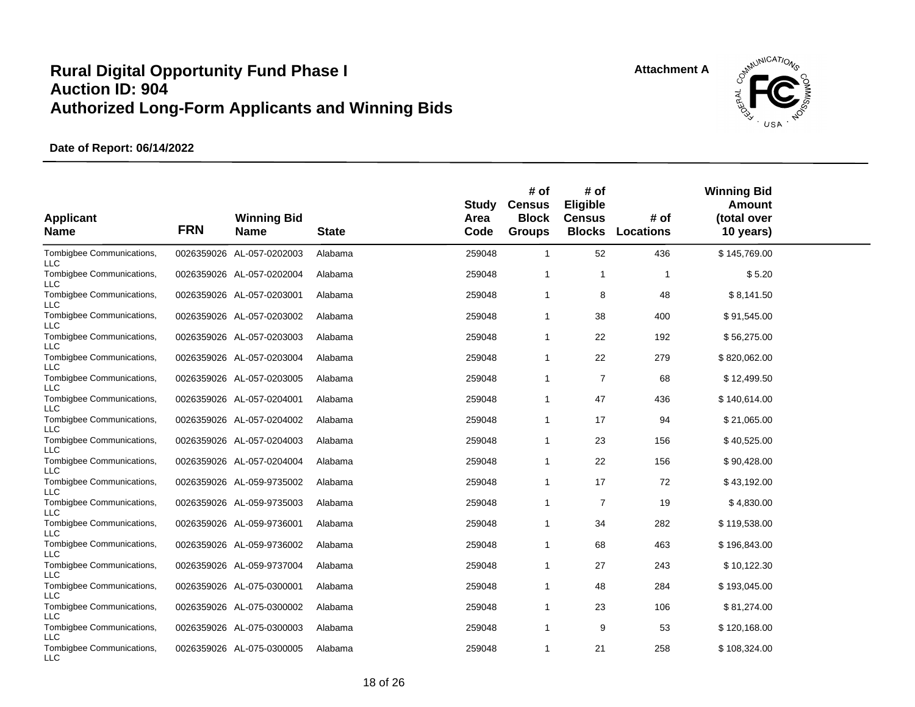

| <b>Applicant</b><br><b>Name</b>         | <b>FRN</b> | <b>Winning Bid</b><br><b>Name</b> | <b>State</b> | Study<br>Area<br>Code | # of<br><b>Census</b><br><b>Block</b><br><b>Groups</b> | # of<br>Eligible<br><b>Census</b><br><b>Blocks</b> | # of<br><b>Locations</b> | <b>Winning Bid</b><br>Amount<br>(total over<br>10 years) |  |
|-----------------------------------------|------------|-----------------------------------|--------------|-----------------------|--------------------------------------------------------|----------------------------------------------------|--------------------------|----------------------------------------------------------|--|
| Tombigbee Communications,<br><b>LLC</b> |            | 0026359026 AL-057-0202003         | Alabama      | 259048                | $\mathbf{1}$                                           | 52                                                 | 436                      | \$145,769.00                                             |  |
| Tombigbee Communications,<br><b>LLC</b> |            | 0026359026 AL-057-0202004         | Alabama      | 259048                | $\mathbf{1}$                                           | $\mathbf{1}$                                       | $\mathbf{1}$             | \$5.20                                                   |  |
| Tombigbee Communications,<br><b>LLC</b> |            | 0026359026 AL-057-0203001         | Alabama      | 259048                | $\mathbf{1}$                                           | 8                                                  | 48                       | \$8,141.50                                               |  |
| Tombigbee Communications,<br><b>LLC</b> |            | 0026359026 AL-057-0203002         | Alabama      | 259048                | $\mathbf{1}$                                           | 38                                                 | 400                      | \$91,545.00                                              |  |
| Tombigbee Communications,<br>LLC        |            | 0026359026 AL-057-0203003         | Alabama      | 259048                | 1                                                      | 22                                                 | 192                      | \$56,275.00                                              |  |
| Tombigbee Communications,<br><b>LLC</b> |            | 0026359026 AL-057-0203004         | Alabama      | 259048                | -1                                                     | 22                                                 | 279                      | \$820,062.00                                             |  |
| Tombigbee Communications,<br><b>LLC</b> |            | 0026359026 AL-057-0203005         | Alabama      | 259048                | $\mathbf{1}$                                           | 7                                                  | 68                       | \$12,499.50                                              |  |
| Tombigbee Communications,<br><b>LLC</b> |            | 0026359026 AL-057-0204001         | Alabama      | 259048                | 1                                                      | 47                                                 | 436                      | \$140,614.00                                             |  |
| Tombigbee Communications,<br><b>LLC</b> |            | 0026359026 AL-057-0204002         | Alabama      | 259048                | $\mathbf{1}$                                           | 17                                                 | 94                       | \$21,065.00                                              |  |
| Tombigbee Communications,<br>LLC        |            | 0026359026 AL-057-0204003         | Alabama      | 259048                | -1                                                     | 23                                                 | 156                      | \$40,525.00                                              |  |
| Tombigbee Communications,<br><b>LLC</b> |            | 0026359026 AL-057-0204004         | Alabama      | 259048                | -1                                                     | 22                                                 | 156                      | \$90,428.00                                              |  |
| Tombigbee Communications,<br><b>LLC</b> |            | 0026359026 AL-059-9735002         | Alabama      | 259048                | $\mathbf{1}$                                           | 17                                                 | 72                       | \$43,192.00                                              |  |
| Tombigbee Communications,<br><b>LLC</b> |            | 0026359026 AL-059-9735003         | Alabama      | 259048                | $\mathbf{1}$                                           | $\overline{7}$                                     | 19                       | \$4,830.00                                               |  |
| Tombigbee Communications,<br><b>LLC</b> |            | 0026359026 AL-059-9736001         | Alabama      | 259048                | $\mathbf{1}$                                           | 34                                                 | 282                      | \$119,538.00                                             |  |
| Tombigbee Communications,<br><b>LLC</b> |            | 0026359026 AL-059-9736002         | Alabama      | 259048                | -1                                                     | 68                                                 | 463                      | \$196,843.00                                             |  |
| Tombigbee Communications,<br><b>LLC</b> |            | 0026359026 AL-059-9737004         | Alabama      | 259048                | -1                                                     | 27                                                 | 243                      | \$10,122.30                                              |  |
| Tombigbee Communications,<br><b>LLC</b> |            | 0026359026 AL-075-0300001         | Alabama      | 259048                | 1                                                      | 48                                                 | 284                      | \$193,045.00                                             |  |
| Tombigbee Communications,<br><b>LLC</b> |            | 0026359026 AL-075-0300002         | Alabama      | 259048                | 1                                                      | 23                                                 | 106                      | \$81,274.00                                              |  |
| Tombigbee Communications,<br><b>LLC</b> |            | 0026359026 AL-075-0300003         | Alabama      | 259048                | $\mathbf{1}$                                           | 9                                                  | 53                       | \$120,168.00                                             |  |
| Tombigbee Communications,<br><b>LLC</b> |            | 0026359026 AL-075-0300005         | Alabama      | 259048                | $\mathbf{1}$                                           | 21                                                 | 258                      | \$108,324.00                                             |  |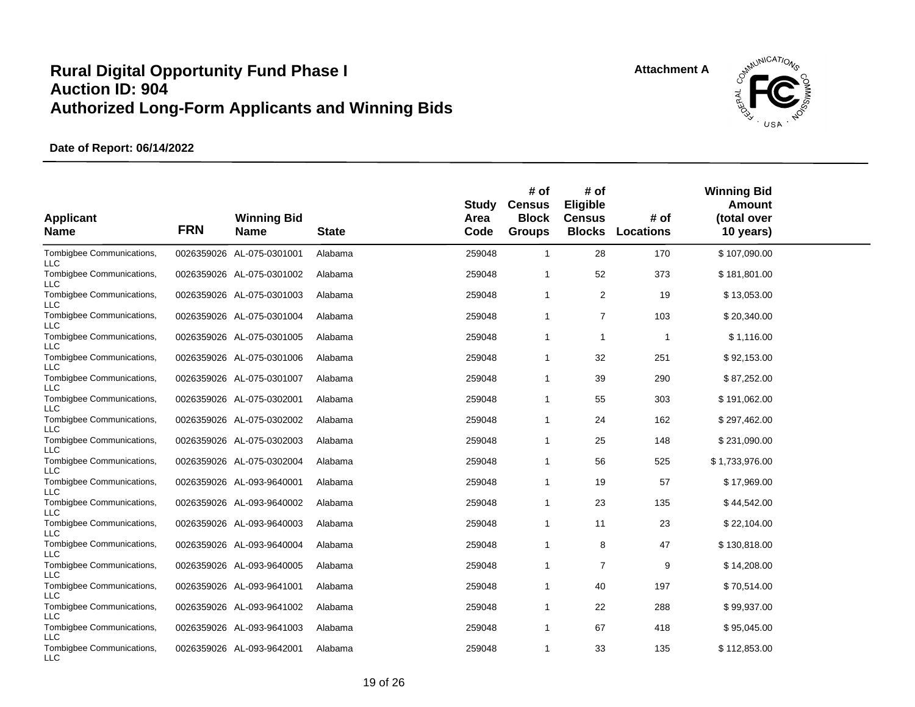

| <b>Applicant</b><br><b>Name</b>         | <b>FRN</b> | <b>Winning Bid</b><br><b>Name</b> | <b>State</b> | Study<br>Area<br>Code | # of<br><b>Census</b><br><b>Block</b><br><b>Groups</b> | # of<br>Eligible<br><b>Census</b><br><b>Blocks</b> | # of<br><b>Locations</b> | <b>Winning Bid</b><br>Amount<br>(total over<br>10 years) |  |
|-----------------------------------------|------------|-----------------------------------|--------------|-----------------------|--------------------------------------------------------|----------------------------------------------------|--------------------------|----------------------------------------------------------|--|
| Tombigbee Communications,<br><b>LLC</b> |            | 0026359026 AL-075-0301001         | Alabama      | 259048                | $\mathbf{1}$                                           | 28                                                 | 170                      | \$107,090.00                                             |  |
| Tombigbee Communications,<br>LLC        |            | 0026359026 AL-075-0301002         | Alabama      | 259048                | 1                                                      | 52                                                 | 373                      | \$181,801.00                                             |  |
| Tombigbee Communications,<br><b>LLC</b> |            | 0026359026 AL-075-0301003         | Alabama      | 259048                | 1                                                      | 2                                                  | 19                       | \$13,053.00                                              |  |
| Tombigbee Communications,<br><b>LLC</b> |            | 0026359026 AL-075-0301004         | Alabama      | 259048                | 1                                                      | $\overline{7}$                                     | 103                      | \$20,340.00                                              |  |
| Tombigbee Communications,<br><b>LLC</b> |            | 0026359026 AL-075-0301005         | Alabama      | 259048                | $\mathbf{1}$                                           | 1                                                  | $\mathbf 1$              | \$1,116.00                                               |  |
| Tombigbee Communications,<br><b>LLC</b> |            | 0026359026 AL-075-0301006         | Alabama      | 259048                | 1                                                      | 32                                                 | 251                      | \$92,153.00                                              |  |
| Tombigbee Communications,<br>LLC        |            | 0026359026 AL-075-0301007         | Alabama      | 259048                | $\mathbf{1}$                                           | 39                                                 | 290                      | \$87,252.00                                              |  |
| Tombigbee Communications,<br><b>LLC</b> |            | 0026359026 AL-075-0302001         | Alabama      | 259048                | $\mathbf 1$                                            | 55                                                 | 303                      | \$191,062.00                                             |  |
| Tombigbee Communications,<br><b>LLC</b> |            | 0026359026 AL-075-0302002         | Alabama      | 259048                | 1                                                      | 24                                                 | 162                      | \$297,462.00                                             |  |
| Tombigbee Communications,<br><b>LLC</b> |            | 0026359026 AL-075-0302003         | Alabama      | 259048                | 1                                                      | 25                                                 | 148                      | \$231,090.00                                             |  |
| Tombigbee Communications,<br><b>LLC</b> |            | 0026359026 AL-075-0302004         | Alabama      | 259048                | 1                                                      | 56                                                 | 525                      | \$1,733,976.00                                           |  |
| Tombigbee Communications,<br><b>LLC</b> |            | 0026359026 AL-093-9640001         | Alabama      | 259048                | 1                                                      | 19                                                 | 57                       | \$17,969.00                                              |  |
| Tombigbee Communications,<br><b>LLC</b> |            | 0026359026 AL-093-9640002         | Alabama      | 259048                | $\mathbf{1}$                                           | 23                                                 | 135                      | \$44,542.00                                              |  |
| Tombigbee Communications,<br><b>LLC</b> |            | 0026359026 AL-093-9640003         | Alabama      | 259048                | 1                                                      | 11                                                 | 23                       | \$22,104.00                                              |  |
| Tombigbee Communications,<br>LLC        |            | 0026359026 AL-093-9640004         | Alabama      | 259048                | 1                                                      | 8                                                  | 47                       | \$130,818.00                                             |  |
| Tombigbee Communications,<br><b>LLC</b> |            | 0026359026 AL-093-9640005         | Alabama      | 259048                | 1                                                      | 7                                                  | 9                        | \$14,208.00                                              |  |
| Tombigbee Communications,<br><b>LLC</b> |            | 0026359026 AL-093-9641001         | Alabama      | 259048                | 1                                                      | 40                                                 | 197                      | \$70,514.00                                              |  |
| Tombigbee Communications,<br>LLC        |            | 0026359026 AL-093-9641002         | Alabama      | 259048                | 1                                                      | 22                                                 | 288                      | \$99,937.00                                              |  |
| Tombigbee Communications,<br><b>LLC</b> |            | 0026359026 AL-093-9641003         | Alabama      | 259048                | 1                                                      | 67                                                 | 418                      | \$95,045.00                                              |  |
| Tombigbee Communications,<br><b>LLC</b> |            | 0026359026 AL-093-9642001         | Alabama      | 259048                | 1                                                      | 33                                                 | 135                      | \$112,853.00                                             |  |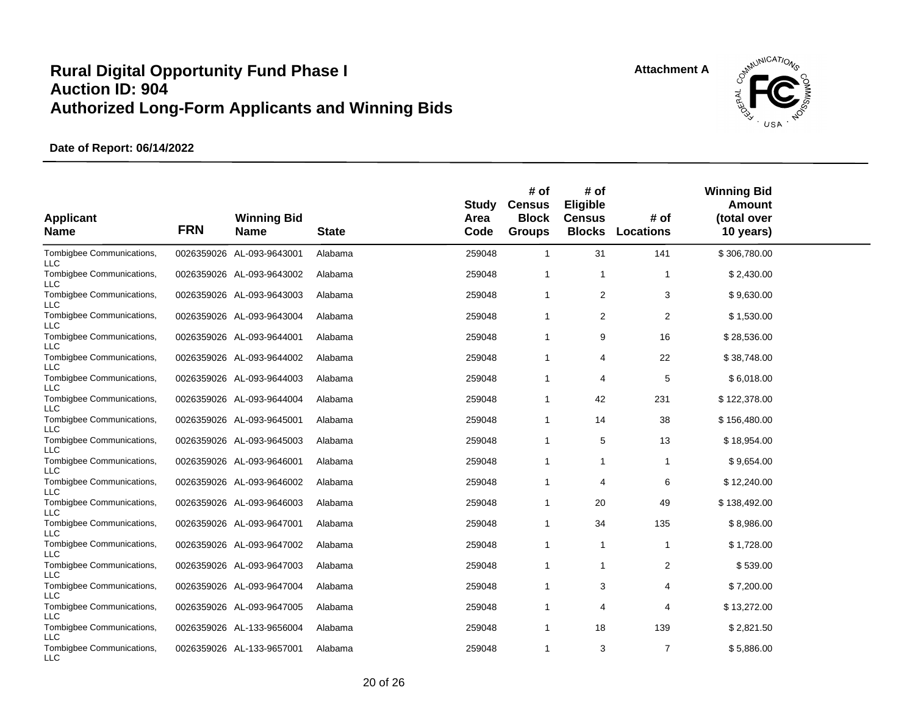

| <b>Applicant</b><br><b>Name</b>         | <b>FRN</b> | <b>Winning Bid</b><br><b>Name</b> | <b>State</b> | Study<br>Area<br>Code | # of<br><b>Census</b><br><b>Block</b><br><b>Groups</b> | # of<br>Eligible<br><b>Census</b><br><b>Blocks</b> | # of<br><b>Locations</b> | <b>Winning Bid</b><br>Amount<br>(total over<br>10 years) |  |
|-----------------------------------------|------------|-----------------------------------|--------------|-----------------------|--------------------------------------------------------|----------------------------------------------------|--------------------------|----------------------------------------------------------|--|
| Tombigbee Communications,<br><b>LLC</b> |            | 0026359026 AL-093-9643001         | Alabama      | 259048                | $\mathbf{1}$                                           | 31                                                 | 141                      | \$306,780.00                                             |  |
| Tombigbee Communications,<br><b>LLC</b> |            | 0026359026 AL-093-9643002         | Alabama      | 259048                | -1                                                     | $\mathbf{1}$                                       | $\mathbf{1}$             | \$2,430.00                                               |  |
| Tombigbee Communications,<br><b>LLC</b> |            | 0026359026 AL-093-9643003         | Alabama      | 259048                | $\mathbf{1}$                                           | 2                                                  | 3                        | \$9,630.00                                               |  |
| Tombigbee Communications,<br><b>LLC</b> |            | 0026359026 AL-093-9643004         | Alabama      | 259048                | $\mathbf{1}$                                           | 2                                                  | $\overline{2}$           | \$1,530.00                                               |  |
| Tombigbee Communications,<br><b>LLC</b> |            | 0026359026 AL-093-9644001         | Alabama      | 259048                | $\mathbf{1}$                                           | 9                                                  | 16                       | \$28,536.00                                              |  |
| Tombigbee Communications,<br><b>LLC</b> |            | 0026359026 AL-093-9644002         | Alabama      | 259048                | 1                                                      | 4                                                  | 22                       | \$38,748.00                                              |  |
| Tombigbee Communications,<br>LLC        |            | 0026359026 AL-093-9644003         | Alabama      | 259048                | $\mathbf{1}$                                           | 4                                                  | 5                        | \$6,018.00                                               |  |
| Tombigbee Communications,<br><b>LLC</b> |            | 0026359026 AL-093-9644004         | Alabama      | 259048                | $\mathbf{1}$                                           | 42                                                 | 231                      | \$122,378.00                                             |  |
| Tombigbee Communications,<br><b>LLC</b> |            | 0026359026 AL-093-9645001         | Alabama      | 259048                | $\mathbf{1}$                                           | 14                                                 | 38                       | \$156,480.00                                             |  |
| Tombigbee Communications,<br><b>LLC</b> |            | 0026359026 AL-093-9645003         | Alabama      | 259048                | $\mathbf{1}$                                           | 5                                                  | 13                       | \$18,954.00                                              |  |
| Tombigbee Communications,<br><b>LLC</b> |            | 0026359026 AL-093-9646001         | Alabama      | 259048                | 1                                                      | 1                                                  | $\mathbf{1}$             | \$9,654.00                                               |  |
| Tombigbee Communications,<br><b>LLC</b> |            | 0026359026 AL-093-9646002         | Alabama      | 259048                | $\mathbf{1}$                                           | 4                                                  | 6                        | \$12,240.00                                              |  |
| Tombigbee Communications,<br><b>LLC</b> |            | 0026359026 AL-093-9646003         | Alabama      | 259048                | -1                                                     | 20                                                 | 49                       | \$138,492.00                                             |  |
| Tombigbee Communications,<br><b>LLC</b> |            | 0026359026 AL-093-9647001         | Alabama      | 259048                | $\mathbf{1}$                                           | 34                                                 | 135                      | \$8,986.00                                               |  |
| Tombigbee Communications,<br><b>LLC</b> |            | 0026359026 AL-093-9647002         | Alabama      | 259048                | -1                                                     | $\mathbf{1}$                                       | $\mathbf{1}$             | \$1,728.00                                               |  |
| Tombigbee Communications,<br><b>LLC</b> |            | 0026359026 AL-093-9647003         | Alabama      | 259048                | -1                                                     | 1                                                  | $\overline{2}$           | \$539.00                                                 |  |
| Tombigbee Communications,<br><b>LLC</b> |            | 0026359026 AL-093-9647004         | Alabama      | 259048                | $\mathbf{1}$                                           | 3                                                  | 4                        | \$7,200.00                                               |  |
| Tombigbee Communications,<br>LLC        |            | 0026359026 AL-093-9647005         | Alabama      | 259048                | -1                                                     | 4                                                  | 4                        | \$13,272.00                                              |  |
| Tombigbee Communications,<br><b>LLC</b> |            | 0026359026 AL-133-9656004         | Alabama      | 259048                | $\mathbf{1}$                                           | 18                                                 | 139                      | \$2,821.50                                               |  |
| Tombigbee Communications,<br><b>LLC</b> |            | 0026359026 AL-133-9657001         | Alabama      | 259048                | $\mathbf{1}$                                           | 3                                                  | $\overline{7}$           | \$5,886.00                                               |  |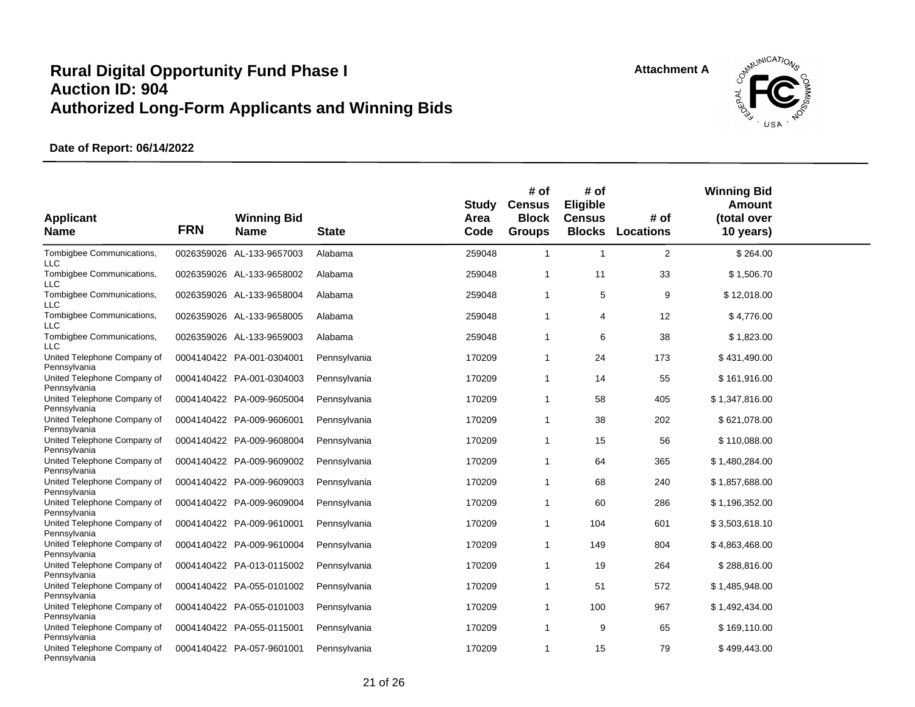

| <b>Applicant</b><br><b>Name</b>             | <b>FRN</b> | <b>Winning Bid</b><br><b>Name</b> | <b>State</b> | Study<br>Area<br>Code | # of<br><b>Census</b><br><b>Block</b><br><b>Groups</b> | # of<br>Eligible<br><b>Census</b><br><b>Blocks</b> | # of<br><b>Locations</b> | <b>Winning Bid</b><br>Amount<br>(total over<br>10 years) |  |
|---------------------------------------------|------------|-----------------------------------|--------------|-----------------------|--------------------------------------------------------|----------------------------------------------------|--------------------------|----------------------------------------------------------|--|
| Tombigbee Communications,<br><b>LLC</b>     |            | 0026359026 AL-133-9657003         | Alabama      | 259048                | $\mathbf{1}$                                           | $\mathbf{1}$                                       | $\overline{2}$           | \$264.00                                                 |  |
| Tombigbee Communications,<br><b>LLC</b>     |            | 0026359026 AL-133-9658002         | Alabama      | 259048                | $\mathbf{1}$                                           | 11                                                 | 33                       | \$1,506.70                                               |  |
| Tombigbee Communications,<br><b>LLC</b>     |            | 0026359026 AL-133-9658004         | Alabama      | 259048                | $\mathbf{1}$                                           | 5                                                  | 9                        | \$12,018.00                                              |  |
| Tombigbee Communications,<br><b>LLC</b>     |            | 0026359026 AL-133-9658005         | Alabama      | 259048                | -1                                                     | 4                                                  | 12                       | \$4,776.00                                               |  |
| Tombigbee Communications,<br><b>LLC</b>     |            | 0026359026 AL-133-9659003         | Alabama      | 259048                | $\mathbf{1}$                                           | 6                                                  | 38                       | \$1,823.00                                               |  |
| United Telephone Company of<br>Pennsylvania |            | 0004140422 PA-001-0304001         | Pennsylvania | 170209                | 1                                                      | 24                                                 | 173                      | \$431,490.00                                             |  |
| United Telephone Company of<br>Pennsylvania |            | 0004140422 PA-001-0304003         | Pennsylvania | 170209                | $\mathbf{1}$                                           | 14                                                 | 55                       | \$161,916.00                                             |  |
| United Telephone Company of<br>Pennsylvania |            | 0004140422 PA-009-9605004         | Pennsylvania | 170209                | $\mathbf{1}$                                           | 58                                                 | 405                      | \$1,347,816.00                                           |  |
| United Telephone Company of<br>Pennsylvania |            | 0004140422 PA-009-9606001         | Pennsylvania | 170209                | $\mathbf{1}$                                           | 38                                                 | 202                      | \$621,078.00                                             |  |
| United Telephone Company of<br>Pennsylvania |            | 0004140422 PA-009-9608004         | Pennsylvania | 170209                | $\mathbf{1}$                                           | 15                                                 | 56                       | \$110,088.00                                             |  |
| United Telephone Company of<br>Pennsylvania |            | 0004140422 PA-009-9609002         | Pennsylvania | 170209                | 1                                                      | 64                                                 | 365                      | \$1,480,284.00                                           |  |
| United Telephone Company of<br>Pennsylvania |            | 0004140422 PA-009-9609003         | Pennsylvania | 170209                | $\mathbf{1}$                                           | 68                                                 | 240                      | \$1,857,688.00                                           |  |
| United Telephone Company of<br>Pennsylvania |            | 0004140422 PA-009-9609004         | Pennsylvania | 170209                | $\mathbf{1}$                                           | 60                                                 | 286                      | \$1,196,352.00                                           |  |
| United Telephone Company of<br>Pennsylvania |            | 0004140422 PA-009-9610001         | Pennsylvania | 170209                | $\mathbf{1}$                                           | 104                                                | 601                      | \$3,503,618.10                                           |  |
| United Telephone Company of<br>Pennsylvania |            | 0004140422 PA-009-9610004         | Pennsylvania | 170209                | $\mathbf{1}$                                           | 149                                                | 804                      | \$4,863,468.00                                           |  |
| United Telephone Company of<br>Pennsylvania |            | 0004140422 PA-013-0115002         | Pennsylvania | 170209                | -1                                                     | 19                                                 | 264                      | \$288,816.00                                             |  |
| United Telephone Company of<br>Pennsylvania |            | 0004140422 PA-055-0101002         | Pennsylvania | 170209                | $\mathbf{1}$                                           | 51                                                 | 572                      | \$1,485,948.00                                           |  |
| United Telephone Company of<br>Pennsylvania |            | 0004140422 PA-055-0101003         | Pennsylvania | 170209                | $\mathbf{1}$                                           | 100                                                | 967                      | \$1,492,434.00                                           |  |
| United Telephone Company of<br>Pennsylvania |            | 0004140422 PA-055-0115001         | Pennsylvania | 170209                | $\mathbf{1}$                                           | 9                                                  | 65                       | \$169,110.00                                             |  |
| United Telephone Company of<br>Pennsylvania |            | 0004140422 PA-057-9601001         | Pennsylvania | 170209                | $\mathbf{1}$                                           | 15                                                 | 79                       | \$499,443.00                                             |  |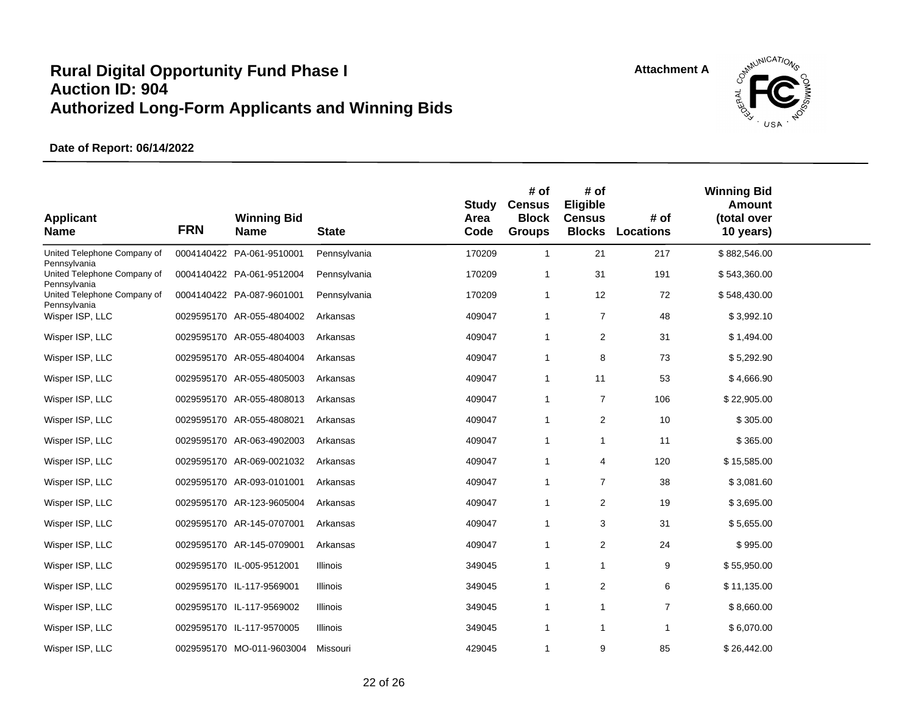

| <b>Applicant</b><br><b>Name</b>             | <b>FRN</b> | <b>Winning Bid</b><br><b>Name</b> | <b>State</b>    | Study<br>Area<br>Code | # of<br><b>Census</b><br><b>Block</b><br><b>Groups</b> | # of<br>Eligible<br><b>Census</b><br><b>Blocks</b> | # of<br><b>Locations</b> | <b>Winning Bid</b><br>Amount<br>(total over<br>10 years) |  |
|---------------------------------------------|------------|-----------------------------------|-----------------|-----------------------|--------------------------------------------------------|----------------------------------------------------|--------------------------|----------------------------------------------------------|--|
| United Telephone Company of<br>Pennsylvania |            | 0004140422 PA-061-9510001         | Pennsylvania    | 170209                | $\mathbf{1}$                                           | 21                                                 | 217                      | \$882,546.00                                             |  |
| United Telephone Company of<br>Pennsylvania |            | 0004140422 PA-061-9512004         | Pennsylvania    | 170209                | 1                                                      | 31                                                 | 191                      | \$543,360.00                                             |  |
| United Telephone Company of<br>Pennsylvania |            | 0004140422 PA-087-9601001         | Pennsylvania    | 170209                | 1                                                      | 12                                                 | 72                       | \$548,430.00                                             |  |
| Wisper ISP, LLC                             |            | 0029595170 AR-055-4804002         | Arkansas        | 409047                | 1                                                      | $\overline{7}$                                     | 48                       | \$3,992.10                                               |  |
| Wisper ISP, LLC                             |            | 0029595170 AR-055-4804003         | Arkansas        | 409047                | 1                                                      | 2                                                  | 31                       | \$1,494.00                                               |  |
| Wisper ISP, LLC                             |            | 0029595170 AR-055-4804004         | Arkansas        | 409047                | 1                                                      | 8                                                  | 73                       | \$5,292.90                                               |  |
| Wisper ISP, LLC                             |            | 0029595170 AR-055-4805003         | Arkansas        | 409047                | 1                                                      | 11                                                 | 53                       | \$4,666.90                                               |  |
| Wisper ISP, LLC                             |            | 0029595170 AR-055-4808013         | Arkansas        | 409047                | 1                                                      | 7                                                  | 106                      | \$22,905.00                                              |  |
| Wisper ISP, LLC                             |            | 0029595170 AR-055-4808021         | Arkansas        | 409047                | 1                                                      | $\overline{2}$                                     | 10                       | \$305.00                                                 |  |
| Wisper ISP, LLC                             |            | 0029595170 AR-063-4902003         | Arkansas        | 409047                | 1                                                      | 1                                                  | 11                       | \$365.00                                                 |  |
| Wisper ISP, LLC                             |            | 0029595170 AR-069-0021032         | Arkansas        | 409047                | 1                                                      | $\overline{4}$                                     | 120                      | \$15,585.00                                              |  |
| Wisper ISP, LLC                             |            | 0029595170 AR-093-0101001         | Arkansas        | 409047                | 1                                                      | $\overline{7}$                                     | 38                       | \$3,081.60                                               |  |
| Wisper ISP, LLC                             |            | 0029595170 AR-123-9605004         | Arkansas        | 409047                | 1                                                      | 2                                                  | 19                       | \$3,695.00                                               |  |
| Wisper ISP, LLC                             |            | 0029595170 AR-145-0707001         | Arkansas        | 409047                | 1                                                      | 3                                                  | 31                       | \$5,655.00                                               |  |
| Wisper ISP, LLC                             |            | 0029595170 AR-145-0709001         | Arkansas        | 409047                | 1                                                      | $\overline{\mathbf{c}}$                            | 24                       | \$995.00                                                 |  |
| Wisper ISP, LLC                             |            | 0029595170 IL-005-9512001         | Illinois        | 349045                | 1                                                      | 1                                                  | 9                        | \$55,950.00                                              |  |
| Wisper ISP, LLC                             |            | 0029595170 IL-117-9569001         | Illinois        | 349045                | 1                                                      | $\overline{\mathbf{c}}$                            | 6                        | \$11,135.00                                              |  |
| Wisper ISP, LLC                             |            | 0029595170 IL-117-9569002         | <b>Illinois</b> | 349045                | 1                                                      | 1                                                  | $\overline{7}$           | \$8,660.00                                               |  |
| Wisper ISP, LLC                             |            | 0029595170 IL-117-9570005         | Illinois        | 349045                | 1                                                      | 1                                                  | $\mathbf{1}$             | \$6,070.00                                               |  |
| Wisper ISP, LLC                             |            | 0029595170 MO-011-9603004         | Missouri        | 429045                | 1                                                      | 9                                                  | 85                       | \$26,442.00                                              |  |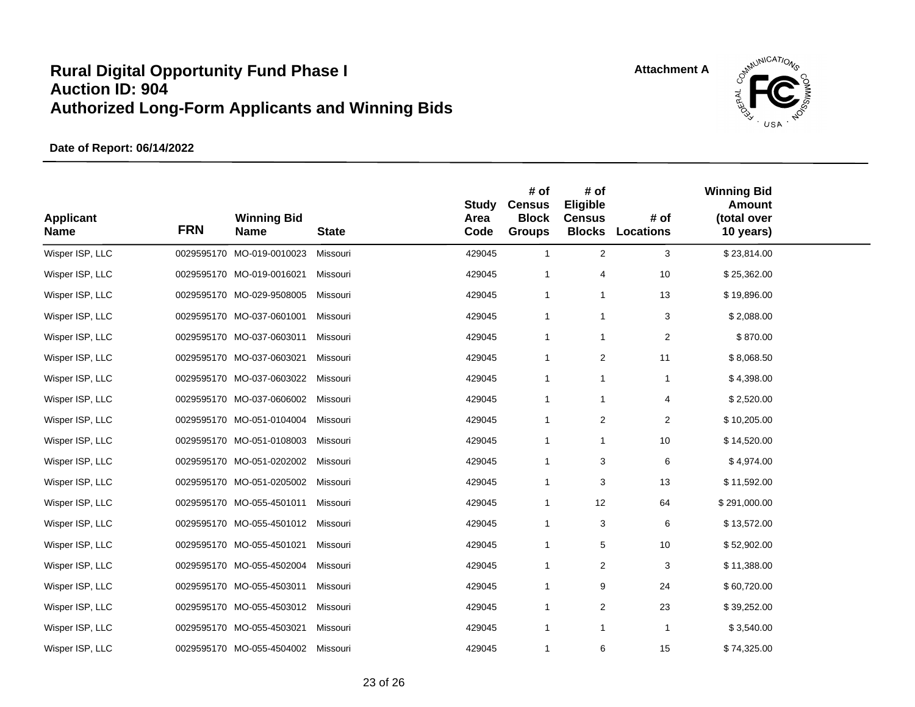

| <b>Applicant</b><br><b>Name</b> | <b>FRN</b> | <b>Winning Bid</b><br><b>Name</b> | <b>State</b> | Study<br>Area<br>Code | # of<br><b>Census</b><br><b>Block</b><br><b>Groups</b> | # of<br>Eligible<br><b>Census</b> | # of<br><b>Blocks Locations</b> | <b>Winning Bid</b><br><b>Amount</b><br>(total over<br>10 years) |  |
|---------------------------------|------------|-----------------------------------|--------------|-----------------------|--------------------------------------------------------|-----------------------------------|---------------------------------|-----------------------------------------------------------------|--|
| Wisper ISP, LLC                 |            | 0029595170 MO-019-0010023         | Missouri     | 429045                | $\mathbf{1}$                                           | $\overline{c}$                    | $\ensuremath{\mathsf{3}}$       | \$23,814.00                                                     |  |
| Wisper ISP, LLC                 |            | 0029595170 MO-019-0016021         | Missouri     | 429045                | 1                                                      | 4                                 | 10                              | \$25,362.00                                                     |  |
| Wisper ISP, LLC                 |            | 0029595170 MO-029-9508005         | Missouri     | 429045                | 1                                                      | $\mathbf{1}$                      | 13                              | \$19,896.00                                                     |  |
| Wisper ISP, LLC                 |            | 0029595170 MO-037-0601001         | Missouri     | 429045                | 1                                                      | $\mathbf{1}$                      | 3                               | \$2,088.00                                                      |  |
| Wisper ISP, LLC                 |            | 0029595170 MO-037-0603011         | Missouri     | 429045                | $\mathbf{1}$                                           | $\mathbf{1}$                      | $\mathbf{2}$                    | \$870.00                                                        |  |
| Wisper ISP, LLC                 |            | 0029595170 MO-037-0603021         | Missouri     | 429045                | 1                                                      | $\overline{c}$                    | 11                              | \$8,068.50                                                      |  |
| Wisper ISP, LLC                 |            | 0029595170 MO-037-0603022         | Missouri     | 429045                | 1                                                      | 1                                 | $\mathbf{1}$                    | \$4,398.00                                                      |  |
| Wisper ISP, LLC                 |            | 0029595170 MO-037-0606002         | Missouri     | 429045                | $\mathbf{1}$                                           | 1                                 | 4                               | \$2,520.00                                                      |  |
| Wisper ISP, LLC                 |            | 0029595170 MO-051-0104004         | Missouri     | 429045                | 1                                                      | $\overline{\mathbf{c}}$           | $\overline{2}$                  | \$10,205.00                                                     |  |
| Wisper ISP, LLC                 |            | 0029595170 MO-051-0108003         | Missouri     | 429045                | 1                                                      | 1                                 | 10                              | \$14,520.00                                                     |  |
| Wisper ISP, LLC                 |            | 0029595170 MO-051-0202002         | Missouri     | 429045                | $\mathbf{1}$                                           | 3                                 | 6                               | \$4,974.00                                                      |  |
| Wisper ISP, LLC                 |            | 0029595170 MO-051-0205002         | Missouri     | 429045                | $\mathbf{1}$                                           | 3                                 | 13                              | \$11,592.00                                                     |  |
| Wisper ISP, LLC                 |            | 0029595170 MO-055-4501011         | Missouri     | 429045                | $\mathbf{1}$                                           | 12                                | 64                              | \$291,000.00                                                    |  |
| Wisper ISP, LLC                 |            | 0029595170 MO-055-4501012         | Missouri     | 429045                | 1                                                      | 3                                 | 6                               | \$13,572.00                                                     |  |
| Wisper ISP, LLC                 |            | 0029595170 MO-055-4501021         | Missouri     | 429045                | $\mathbf{1}$                                           | 5                                 | 10                              | \$52,902.00                                                     |  |
| Wisper ISP, LLC                 |            | 0029595170 MO-055-4502004         | Missouri     | 429045                | 1                                                      | 2                                 | 3                               | \$11,388.00                                                     |  |
| Wisper ISP, LLC                 |            | 0029595170 MO-055-4503011         | Missouri     | 429045                | $\mathbf{1}$                                           | 9                                 | 24                              | \$60,720.00                                                     |  |
| Wisper ISP, LLC                 |            | 0029595170 MO-055-4503012         | Missouri     | 429045                | $\mathbf{1}$                                           | 2                                 | 23                              | \$39,252.00                                                     |  |
| Wisper ISP, LLC                 |            | 0029595170 MO-055-4503021         | Missouri     | 429045                | $\mathbf{1}$                                           | $\mathbf{1}$                      | $\mathbf{1}$                    | \$3,540.00                                                      |  |
| Wisper ISP, LLC                 |            | 0029595170 MO-055-4504002         | Missouri     | 429045                | 1                                                      | 6                                 | 15                              | \$74,325.00                                                     |  |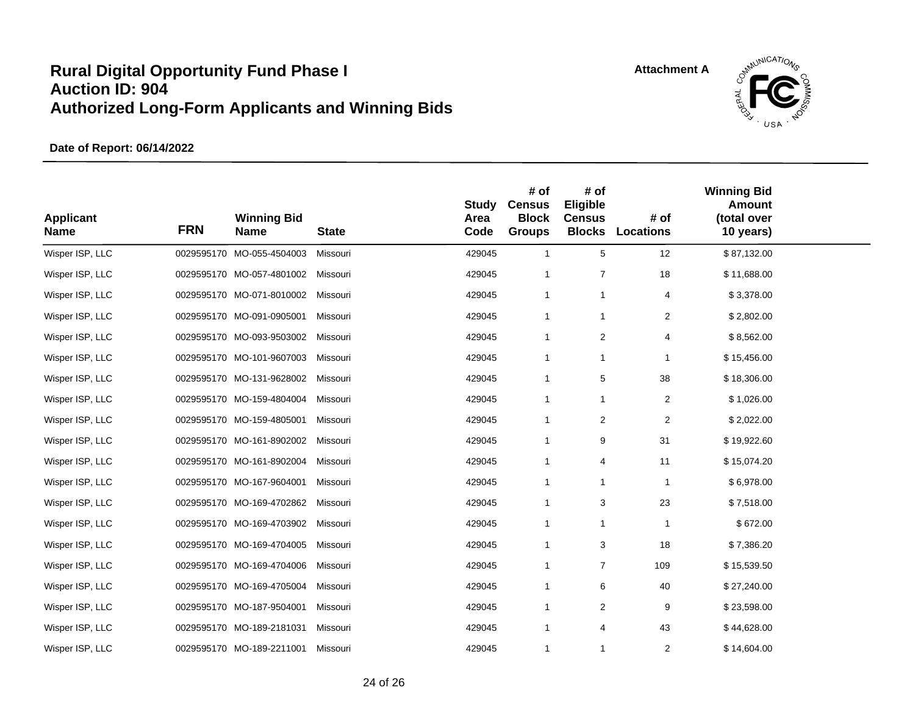

| <b>Applicant</b><br><b>Name</b> | <b>FRN</b> | <b>Winning Bid</b><br><b>Name</b> | <b>State</b> | Study<br>Area<br>Code | # of<br><b>Census</b><br><b>Block</b><br><b>Groups</b> | # of<br>Eligible<br><b>Census</b> | # of<br><b>Blocks Locations</b> | <b>Winning Bid</b><br>Amount<br>(total over<br>10 years) |  |
|---------------------------------|------------|-----------------------------------|--------------|-----------------------|--------------------------------------------------------|-----------------------------------|---------------------------------|----------------------------------------------------------|--|
| Wisper ISP, LLC                 |            | 0029595170 MO-055-4504003         | Missouri     | 429045                | $\mathbf{1}$                                           | 5                                 | 12                              | \$87,132.00                                              |  |
| Wisper ISP, LLC                 |            | 0029595170 MO-057-4801002         | Missouri     | 429045                | 1                                                      | $\overline{7}$                    | 18                              | \$11,688.00                                              |  |
| Wisper ISP, LLC                 |            | 0029595170 MO-071-8010002         | Missouri     | 429045                | $\mathbf{1}$                                           | $\mathbf{1}$                      | 4                               | \$3,378.00                                               |  |
| Wisper ISP, LLC                 |            | 0029595170 MO-091-0905001         | Missouri     | 429045                | $\mathbf{1}$                                           | $\mathbf{1}$                      | $\overline{2}$                  | \$2,802.00                                               |  |
| Wisper ISP, LLC                 |            | 0029595170 MO-093-9503002         | Missouri     | 429045                | 1                                                      | $\overline{\mathbf{c}}$           | 4                               | \$8,562.00                                               |  |
| Wisper ISP, LLC                 |            | 0029595170 MO-101-9607003         | Missouri     | 429045                | 1                                                      | 1                                 | $\mathbf{1}$                    | \$15,456.00                                              |  |
| Wisper ISP, LLC                 |            | 0029595170 MO-131-9628002         | Missouri     | 429045                | 1                                                      | 5                                 | 38                              | \$18,306.00                                              |  |
| Wisper ISP, LLC                 |            | 0029595170 MO-159-4804004         | Missouri     | 429045                | 1                                                      | 1                                 | $\overline{c}$                  | \$1,026.00                                               |  |
| Wisper ISP, LLC                 |            | 0029595170 MO-159-4805001         | Missouri     | 429045                | 1                                                      | 2                                 | 2                               | \$2,022.00                                               |  |
| Wisper ISP, LLC                 |            | 0029595170 MO-161-8902002         | Missouri     | 429045                | 1                                                      | 9                                 | 31                              | \$19,922.60                                              |  |
| Wisper ISP, LLC                 |            | 0029595170 MO-161-8902004         | Missouri     | 429045                | $\mathbf{1}$                                           | 4                                 | 11                              | \$15,074.20                                              |  |
| Wisper ISP, LLC                 |            | 0029595170 MO-167-9604001         | Missouri     | 429045                | 1                                                      | 1                                 | $\mathbf{1}$                    | \$6,978.00                                               |  |
| Wisper ISP, LLC                 |            | 0029595170 MO-169-4702862         | Missouri     | 429045                | 1                                                      | 3                                 | 23                              | \$7,518.00                                               |  |
| Wisper ISP, LLC                 |            | 0029595170 MO-169-4703902         | Missouri     | 429045                | 1                                                      | 1                                 | $\mathbf{1}$                    | \$672.00                                                 |  |
| Wisper ISP, LLC                 |            | 0029595170 MO-169-4704005         | Missouri     | 429045                | $\mathbf{1}$                                           | 3                                 | 18                              | \$7,386.20                                               |  |
| Wisper ISP, LLC                 |            | 0029595170 MO-169-4704006         | Missouri     | 429045                | 1                                                      | $\overline{7}$                    | 109                             | \$15,539.50                                              |  |
| Wisper ISP, LLC                 |            | 0029595170 MO-169-4705004         | Missouri     | 429045                | 1                                                      | 6                                 | 40                              | \$27,240.00                                              |  |
| Wisper ISP, LLC                 |            | 0029595170 MO-187-9504001         | Missouri     | 429045                | 1                                                      | 2                                 | 9                               | \$23,598.00                                              |  |
| Wisper ISP, LLC                 |            | 0029595170 MO-189-2181031         | Missouri     | 429045                | 1                                                      | $\overline{4}$                    | 43                              | \$44,628.00                                              |  |
| Wisper ISP, LLC                 |            | 0029595170 MO-189-2211001         | Missouri     | 429045                | 1                                                      | 1                                 | $\overline{2}$                  | \$14,604.00                                              |  |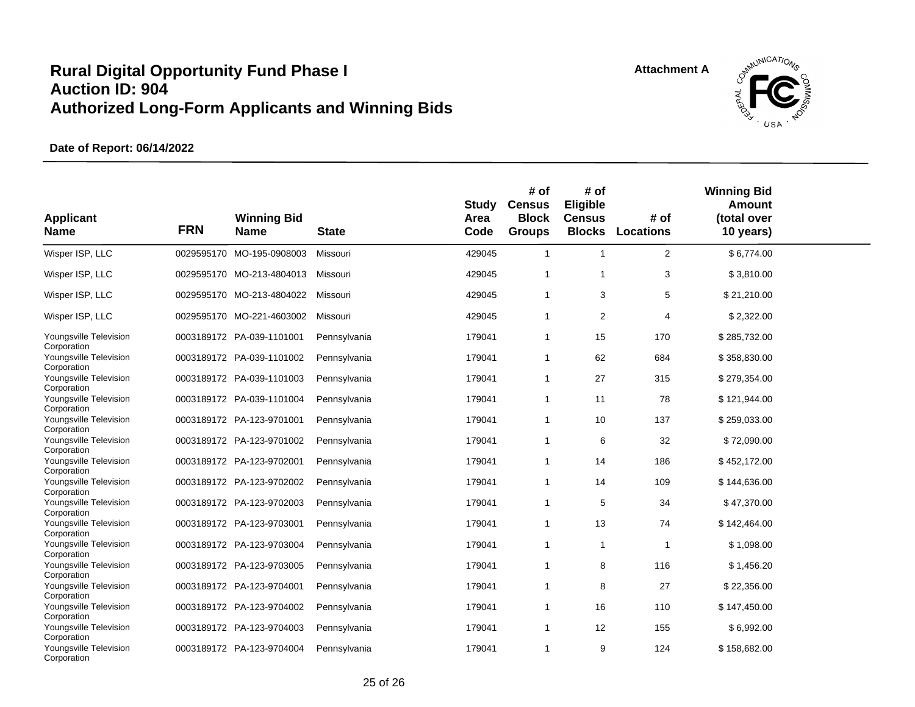

| <b>Applicant</b><br><b>Name</b>                      | <b>FRN</b> | <b>Winning Bid</b><br><b>Name</b> | <b>State</b> | <b>Study</b><br>Area<br>Code | # of<br><b>Census</b><br><b>Block</b><br><b>Groups</b> | # of<br><b>Eligible</b><br><b>Census</b> | # of<br><b>Blocks Locations</b> | <b>Winning Bid</b><br><b>Amount</b><br>(total over<br>10 years) |  |
|------------------------------------------------------|------------|-----------------------------------|--------------|------------------------------|--------------------------------------------------------|------------------------------------------|---------------------------------|-----------------------------------------------------------------|--|
| Wisper ISP, LLC                                      |            | 0029595170 MO-195-0908003         | Missouri     | 429045                       | $\mathbf{1}$                                           | $\mathbf{1}$                             | $\overline{2}$                  | \$6,774.00                                                      |  |
| Wisper ISP, LLC                                      |            | 0029595170 MO-213-4804013         | Missouri     | 429045                       | $\mathbf{1}$                                           | 1                                        | 3                               | \$3,810.00                                                      |  |
| Wisper ISP, LLC                                      |            | 0029595170 MO-213-4804022         | Missouri     | 429045                       | $\mathbf{1}$                                           | 3                                        | $\,$ 5 $\,$                     | \$21,210.00                                                     |  |
| Wisper ISP, LLC                                      |            | 0029595170 MO-221-4603002         | Missouri     | 429045                       | $\mathbf{1}$                                           | 2                                        | 4                               | \$2,322.00                                                      |  |
| Youngsville Television<br>Corporation                |            | 0003189172 PA-039-1101001         | Pennsylvania | 179041                       | 1                                                      | 15                                       | 170                             | \$285,732.00                                                    |  |
| Youngsville Television<br>Corporation                |            | 0003189172 PA-039-1101002         | Pennsylvania | 179041                       | 1                                                      | 62                                       | 684                             | \$358,830.00                                                    |  |
| Youngsville Television<br>Corporation                |            | 0003189172 PA-039-1101003         | Pennsylvania | 179041                       | 1                                                      | 27                                       | 315                             | \$279,354.00                                                    |  |
| Youngsville Television<br>Corporation                |            | 0003189172 PA-039-1101004         | Pennsylvania | 179041                       | $\mathbf{1}$                                           | 11                                       | 78                              | \$121,944.00                                                    |  |
| Youngsville Television<br>Corporation                |            | 0003189172 PA-123-9701001         | Pennsylvania | 179041                       | $\mathbf{1}$                                           | 10                                       | 137                             | \$259,033.00                                                    |  |
| Youngsville Television<br>Corporation                |            | 0003189172 PA-123-9701002         | Pennsylvania | 179041                       | 1                                                      | 6                                        | 32                              | \$72,090.00                                                     |  |
| Youngsville Television<br>Corporation                |            | 0003189172 PA-123-9702001         | Pennsylvania | 179041                       | $\mathbf{1}$                                           | 14                                       | 186                             | \$452,172.00                                                    |  |
| Youngsville Television<br>Corporation                |            | 0003189172 PA-123-9702002         | Pennsylvania | 179041                       | 1                                                      | 14                                       | 109                             | \$144,636.00                                                    |  |
| Youngsville Television<br>Corporation                |            | 0003189172 PA-123-9702003         | Pennsylvania | 179041                       | $\mathbf{1}$                                           | 5                                        | 34                              | \$47,370.00                                                     |  |
| Youngsville Television<br>Corporation                |            | 0003189172 PA-123-9703001         | Pennsylvania | 179041                       | $\mathbf{1}$                                           | 13                                       | 74                              | \$142,464.00                                                    |  |
| Youngsville Television<br>Corporation                |            | 0003189172 PA-123-9703004         | Pennsylvania | 179041                       | $\mathbf{1}$                                           | $\mathbf{1}$                             | $\mathbf{1}$                    | \$1,098.00                                                      |  |
| Youngsville Television<br>Corporation                |            | 0003189172 PA-123-9703005         | Pennsylvania | 179041                       | $\mathbf{1}$                                           | 8                                        | 116                             | \$1,456.20                                                      |  |
| Youngsville Television<br>Corporation                |            | 0003189172 PA-123-9704001         | Pennsylvania | 179041                       | $\mathbf{1}$                                           | 8                                        | 27                              | \$22,356.00                                                     |  |
| Youngsville Television<br>Corporation                |            | 0003189172 PA-123-9704002         | Pennsylvania | 179041                       | $\mathbf{1}$                                           | 16                                       | 110                             | \$147,450.00                                                    |  |
| Youngsville Television                               |            | 0003189172 PA-123-9704003         | Pennsylvania | 179041                       | $\mathbf{1}$                                           | 12                                       | 155                             | \$6,992.00                                                      |  |
| Corporation<br>Youngsville Television<br>Corporation |            | 0003189172 PA-123-9704004         | Pennsylvania | 179041                       | $\mathbf{1}$                                           | 9                                        | 124                             | \$158,682.00                                                    |  |